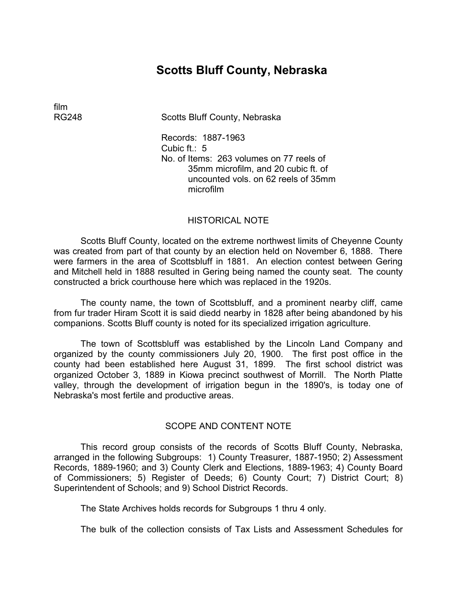# **Scotts Bluff County, Nebraska**

film

RG248 Scotts Bluff County, Nebraska

Records: 1887-1963 Cubic  $ft: 5$ No. of Items: 263 volumes on 77 reels of 35mm microfilm, and 20 cubic ft. of uncounted vols. on 62 reels of 35mm microfilm

#### HISTORICAL NOTE

Scotts Bluff County, located on the extreme northwest limits of Cheyenne County was created from part of that county by an election held on November 6, 1888. There were farmers in the area of Scottsbluff in 1881. An election contest between Gering and Mitchell held in 1888 resulted in Gering being named the county seat. The county constructed a brick courthouse here which was replaced in the 1920s.

The county name, the town of Scottsbluff, and a prominent nearby cliff, came from fur trader Hiram Scott it is said diedd nearby in 1828 after being abandoned by his companions. Scotts Bluff county is noted for its specialized irrigation agriculture.

The town of Scottsbluff was established by the Lincoln Land Company and organized by the county commissioners July 20, 1900. The first post office in the county had been established here August 31, 1899. The first school district was organized October 3, 1889 in Kiowa precinct southwest of Morrill. The North Platte valley, through the development of irrigation begun in the 1890's, is today one of Nebraska's most fertile and productive areas.

#### SCOPE AND CONTENT NOTE

This record group consists of the records of Scotts Bluff County, Nebraska, arranged in the following Subgroups: 1) County Treasurer, 1887-1950; 2) Assessment Records, 1889-1960; and 3) County Clerk and Elections, 1889-1963; 4) County Board of Commissioners; 5) Register of Deeds; 6) County Court; 7) District Court; 8) Superintendent of Schools; and 9) School District Records.

The State Archives holds records for Subgroups 1 thru 4 only.

The bulk of the collection consists of Tax Lists and Assessment Schedules for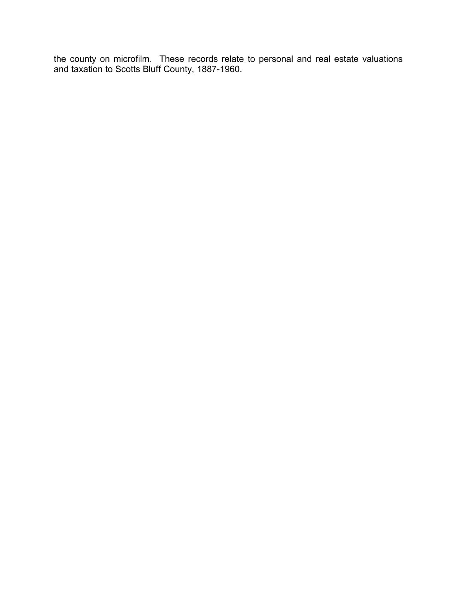the county on microfilm. These records relate to personal and real estate valuations and taxation to Scotts Bluff County, 1887-1960.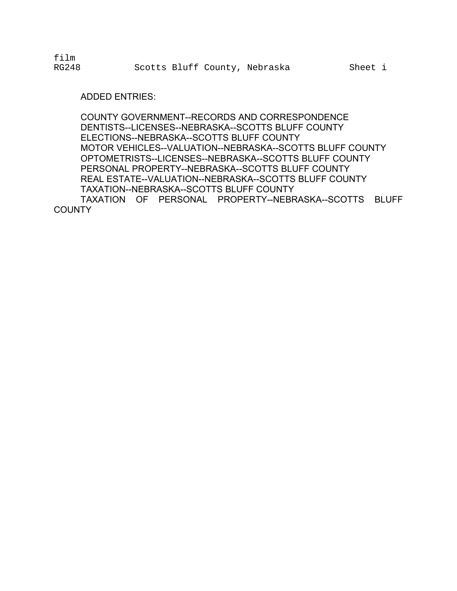film

#### ADDED ENTRIES:

COUNTY GOVERNMENT--RECORDS AND CORRESPONDENCE DENTISTS--LICENSES--NEBRASKA--SCOTTS BLUFF COUNTY ELECTIONS--NEBRASKA--SCOTTS BLUFF COUNTY MOTOR VEHICLES--VALUATION--NEBRASKA--SCOTTS BLUFF COUNTY OPTOMETRISTS--LICENSES--NEBRASKA--SCOTTS BLUFF COUNTY PERSONAL PROPERTY--NEBRASKA--SCOTTS BLUFF COUNTY REAL ESTATE--VALUATION--NEBRASKA--SCOTTS BLUFF COUNTY TAXATION--NEBRASKA--SCOTTS BLUFF COUNTY TAXATION OF PERSONAL PROPERTY--NEBRASKA--SCOTTS BLUFF **COUNTY**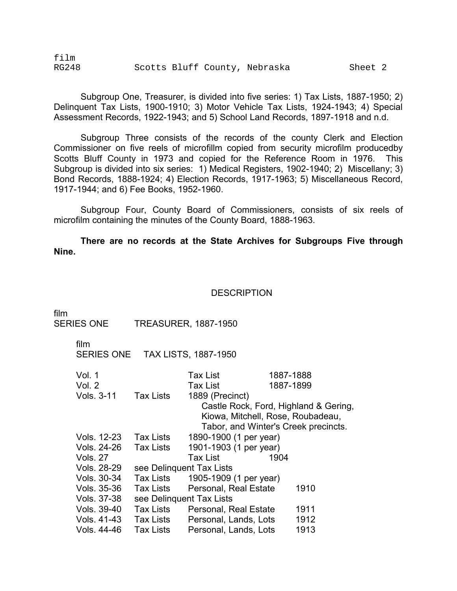| film         |  |                               |         |  |
|--------------|--|-------------------------------|---------|--|
| <b>RG248</b> |  | Scotts Bluff County, Nebraska | Sheet 2 |  |

Subgroup One, Treasurer, is divided into five series: 1) Tax Lists, 1887-1950; 2) Delinquent Tax Lists, 1900-1910; 3) Motor Vehicle Tax Lists, 1924-1943; 4) Special Assessment Records, 1922-1943; and 5) School Land Records, 1897-1918 and n.d.

Subgroup Three consists of the records of the county Clerk and Election Commissioner on five reels of microfillm copied from security microfilm producedby Scotts Bluff County in 1973 and copied for the Reference Room in 1976. This Subgroup is divided into six series: 1) Medical Registers, 1902-1940; 2) Miscellany; 3) Bond Records, 1888-1924; 4) Election Records, 1917-1963; 5) Miscellaneous Record, 1917-1944; and 6) Fee Books, 1952-1960.

Subgroup Four, County Board of Commissioners, consists of six reels of microfilm containing the minutes of the County Board, 1888-1963.

**There are no records at the State Archives for Subgroups Five through Nine.** 

#### **DESCRIPTION**

| film | <b>SERIES ONE</b>     |                  | <b>TREASURER, 1887-1950</b>           |           |
|------|-----------------------|------------------|---------------------------------------|-----------|
|      | film                  |                  | SERIES ONE TAX LISTS, 1887-1950       |           |
|      | Vol. 1                |                  | Tax List                              | 1887-1888 |
|      | Vol. 2                |                  | Tax List                              | 1887-1899 |
|      | Vols. 3-11            | <b>Tax Lists</b> | 1889 (Precinct)                       |           |
|      |                       |                  | Castle Rock, Ford, Highland & Gering, |           |
|      |                       |                  | Kiowa, Mitchell, Rose, Roubadeau,     |           |
|      |                       |                  | Tabor, and Winter's Creek precincts.  |           |
|      | Vols. 12-23 Tax Lists |                  | 1890-1900 (1 per year)                |           |
|      | Vols. 24-26           | <b>Tax Lists</b> | 1901-1903 (1 per year)                |           |
|      | <b>Vols. 27</b>       |                  | 1904<br>Tax List                      |           |
|      | Vols. 28-29           |                  | see Delinguent Tax Lists              |           |
|      | Vols. 30-34           | Tax Lists        | 1905-1909 (1 per year)                |           |
|      | Vols. 35-36           | Tax Lists        | Personal, Real Estate                 | 1910      |
|      | Vols. 37-38           |                  | see Delinguent Tax Lists              |           |
|      | Vols. 39-40           | Tax Lists        | Personal, Real Estate                 | 1911      |
|      | Vols. 41-43           | Tax Lists        | Personal, Lands, Lots                 | 1912      |
|      | Vols, 44-46           | <b>Tax Lists</b> | Personal, Lands, Lots                 | 1913      |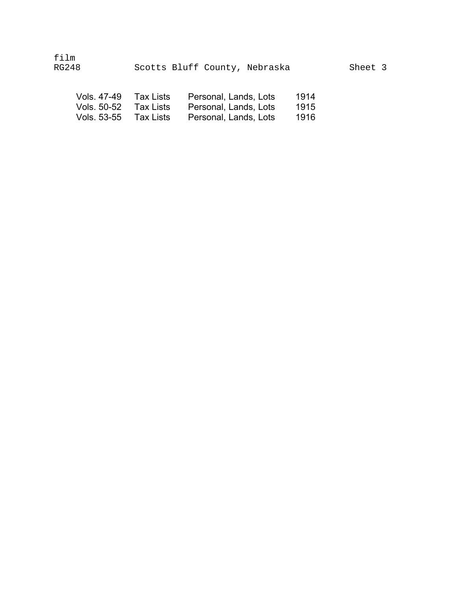| film<br>RG248         | Scotts Bluff County, Nebraska |                       |      | Sheet 3 |
|-----------------------|-------------------------------|-----------------------|------|---------|
| Vols. 47-49 Tax Lists |                               | Personal, Lands, Lots | 1914 |         |

| Vols. 50-52 Tax Lists | Tax Lists | Personal, Lands, Lots | 1915 |
|-----------------------|-----------|-----------------------|------|
| Vols. 53-55           |           | Personal, Lands, Lots | 1916 |
|                       |           |                       |      |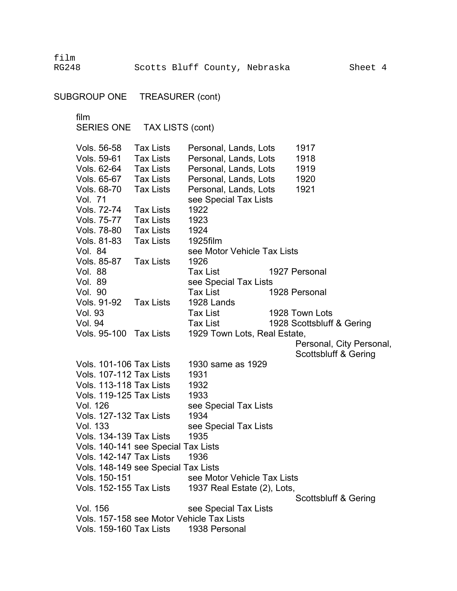film RG248 Scotts Bluff County, Nebraska Sheet 4

SUBGROUP ONE TREASURER (cont)

film

SERIES ONE TAX LISTS (cont)

Vols. 56-58 Vols. 59-61 Vols. 62-64 Vols. 65-67 Vols. 68-70 Vol. 71 Vols. 72-74 Vols. 75-77 Vols. 78-80 Vols. 81-83 Tax Lists Tax Lists Tax Lists Tax Lists Tax Lists Tax Lists Tax Lists Tax Lists Tax Lists Personal, Lands, Lots Personal, Lands, Lots Personal, Lands, Lots Personal, Lands, Lots Personal, Lands, Lots see Special Tax Lists 1922 1923 1924 1925film 1917 1918 1919 1920 1921 Vol. 84 see Motor Vehicle Tax Lists Vols. 85-87 Tax Lists 1926 Vol. 88 Tax List 1927 Personal Vol. 89 see Special Tax Lists Vol. 90 Tax List 1928 Personal Vols. 91-92 Tax Lists 1928 Lands Vol. 93 Tax List 1928 Town Lots Vol. 94 Tax List 1928 Scottsbluff & Gering Vols. 95-100 Tax Lists 1929 Town Lots, Real Estate, Personal, City Personal, Scottsbluff & Gering Vols. 101-106 Tax Lists 1930 same as 1929 Vols. 107-112 Tax Lists 1931 Vols. 113-118 Tax Lists 1932 Vols. 119-125 Tax Lists 1933 Vol. 126 see Special Tax Lists Vols. 127-132 Tax Lists 1934 Vol. 133 see Special Tax Lists Vols. 134-139 Tax Lists 1935 Vols. 140-141 see Special Tax Lists Vols. 142-147 Tax Lists 1936 Vols. 148-149 see Special Tax Lists Vols. 150-151 see Motor Vehicle Tax Lists Vols. 152-155 Tax Lists 1937 Real Estate (2), Lots, Scottsbluff & Gering Vol. 156 see Special Tax Lists Vols. 157-158 see Motor Vehicle Tax Lists Vols. 159-160 Tax Lists 1938 Personal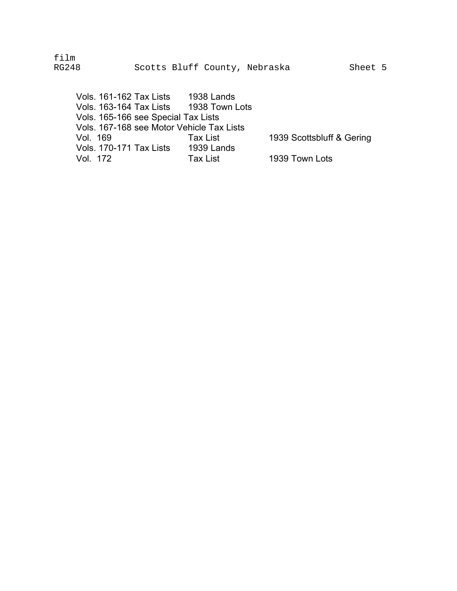film RG248 Scotts Bluff County, Nebraska Sheet 5

Vols. 161-162 Tax Lists 1938 Lands<br>Vols. 163-164 Tax Lists 1938 Town Lots Vols. 163-164 Tax Lists Vols. 165-166 see Special Tax Lists Vols. 167-168 see Motor Vehicle Tax Lists Vol. 169 Tax List 1939 Scottsbluff & Gering<br>Vols. 170-171 Tax Lists 1939 Lands Vols. 170-171 Tax Lists Vol. 172 Tax List 1939 Town Lots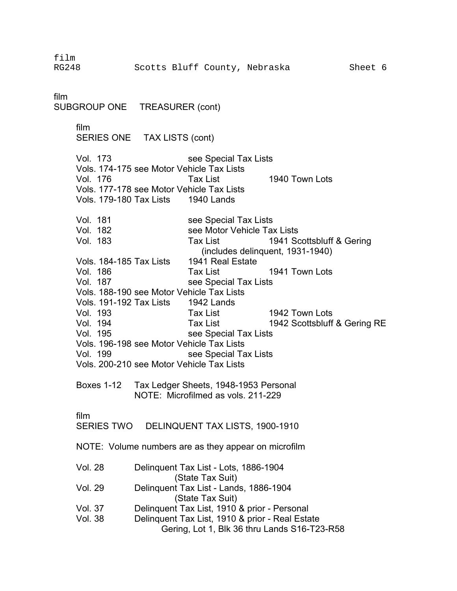RG248 Scotts Bluff County, Nebraska Sheet 6

SUBGROUP ONE TREASURER (cont) film SERIES ONE TAX LISTS (cont) Vol. 173 see Special Tax Lists Vols. 174-175 see Motor Vehicle Tax Lists Vol. 176 Tax List 1940 Town Lots Vols. 177-178 see Motor Vehicle Tax Lists Vols. 179-180 Tax Lists 1940 Lands Vol. 181 see Special Tax Lists Vol. 182 see Motor Vehicle Tax Lists Vol. 183 Tax List 1941 Scottsbluff & Gering (includes delinquent, 1931-1940) Vols. 184-185 Tax Lists 1941 Real Estate Vol. 186 Tax List 1941 Town Lots Vol. 187 see Special Tax Lists Vols. 188-190 see Motor Vehicle Tax Lists Vols. 191-192 Tax Lists 1942 Lands Vol. 193 Tax List 1942 Town Lots Vol. 194 Tax List 1942 Scottsbluff & Gering RE Vol. 195 see Special Tax Lists Vols. 196-198 see Motor Vehicle Tax Lists Vol. 199 see Special Tax Lists Vols. 200-210 see Motor Vehicle Tax Lists Boxes 1-12 Tax Ledger Sheets, 1948-1953 Personal NOTE: Microfilmed as vols. 211-229 film SERIES TWO DELINQUENT TAX LISTS, 1900-1910 NOTE: Volume numbers are as they appear on microfilm

| <b>Vol. 28</b> | Delinguent Tax List - Lots, 1886-1904           |
|----------------|-------------------------------------------------|
|                | (State Tax Suit)                                |
| <b>Vol. 29</b> | Delinquent Tax List - Lands, 1886-1904          |
|                | (State Tax Suit)                                |
| Vol. 37        | Delinquent Tax List, 1910 & prior - Personal    |
| <b>Vol. 38</b> | Delinguent Tax List, 1910 & prior - Real Estate |
|                | Gering, Lot 1, Blk 36 thru Lands S16-T23-R58    |

film

film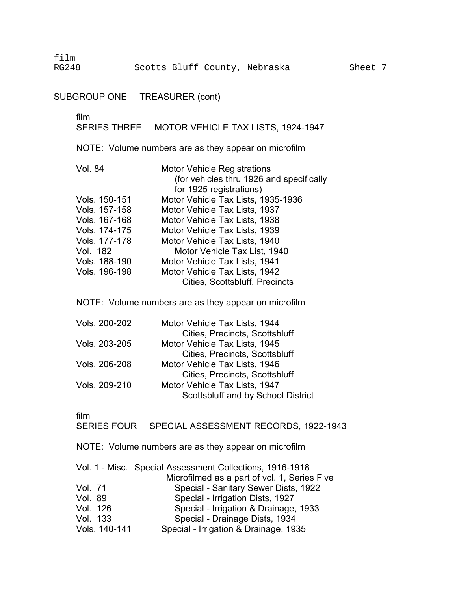film

## SUBGROUP ONE TREASURER (cont)

#### film �

SERIES THREE MOTOR VEHICLE TAX LISTS, 1924-1947

NOTE: Volume numbers are as they appear on microfilm

| <b>Motor Vehicle Registrations</b>       |
|------------------------------------------|
| (for vehicles thru 1926 and specifically |
| for 1925 registrations)                  |
| Motor Vehicle Tax Lists, 1935-1936       |
| Motor Vehicle Tax Lists, 1937            |
| Motor Vehicle Tax Lists, 1938            |
| Motor Vehicle Tax Lists, 1939            |
| Motor Vehicle Tax Lists, 1940            |
| Motor Vehicle Tax List, 1940             |
| Motor Vehicle Tax Lists, 1941            |
| Motor Vehicle Tax Lists, 1942            |
| <b>Cities, Scottsbluff, Precincts</b>    |
|                                          |

NOTE: Volume numbers are as they appear on microfilm

| Scottsbluff and by School District |
|------------------------------------|
|                                    |

film

SERIES FOUR SPECIAL ASSESSMENT RECORDS, 1922-1943

NOTE: Volume numbers are as they appear on microfilm

|          |               | Vol. 1 - Misc. Special Assessment Collections, 1916-1918 |
|----------|---------------|----------------------------------------------------------|
|          |               | Microfilmed as a part of vol. 1, Series Five             |
| Vol. 71  |               | Special - Sanitary Sewer Dists, 1922                     |
| Vol. 89  |               | Special - Irrigation Dists, 1927                         |
|          | Vol. 126      | Special - Irrigation & Drainage, 1933                    |
| Vol. 133 |               | Special - Drainage Dists, 1934                           |
|          | Vols. 140-141 | Special - Irrigation & Drainage, 1935                    |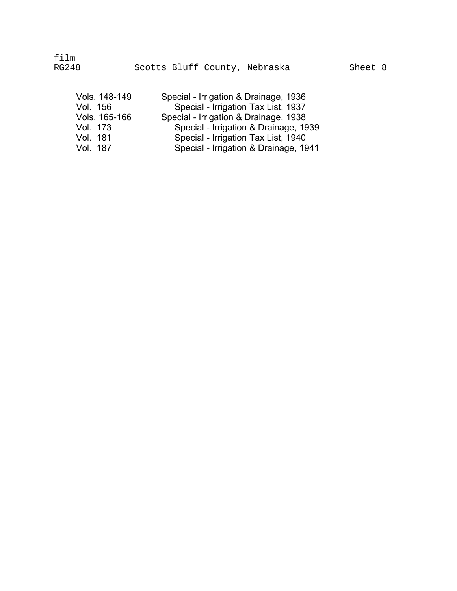| Vols. 148-149 | Special - Irrigation & Drainage, 1936 |
|---------------|---------------------------------------|
| Vol. 156      | Special - Irrigation Tax List, 1937   |
| Vols. 165-166 | Special - Irrigation & Drainage, 1938 |
| Vol. 173      | Special - Irrigation & Drainage, 1939 |
| Vol. 181      | Special - Irrigation Tax List, 1940   |
| Vol. 187      | Special - Irrigation & Drainage, 1941 |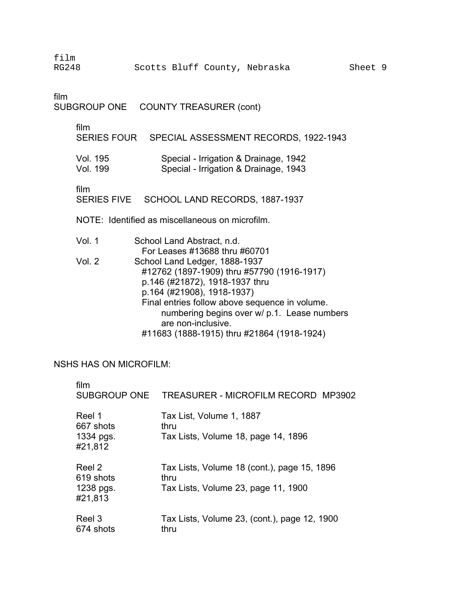| film<br><b>RG248</b>                               |                             | Scotts Bluff County, Nebraska                                                                                                                                                                                                                                                                                    | Sheet 9 |  |
|----------------------------------------------------|-----------------------------|------------------------------------------------------------------------------------------------------------------------------------------------------------------------------------------------------------------------------------------------------------------------------------------------------------------|---------|--|
| film                                               | SUBGROUP ONE                | <b>COUNTY TREASURER (cont)</b>                                                                                                                                                                                                                                                                                   |         |  |
|                                                    | film                        | SERIES FOUR SPECIAL ASSESSMENT RECORDS, 1922-1943                                                                                                                                                                                                                                                                |         |  |
|                                                    | Vol. 195<br><b>Vol. 199</b> | Special - Irrigation & Drainage, 1942<br>Special - Irrigation & Drainage, 1943                                                                                                                                                                                                                                   |         |  |
| film<br>SERIES FIVE SCHOOL LAND RECORDS, 1887-1937 |                             |                                                                                                                                                                                                                                                                                                                  |         |  |
|                                                    |                             | NOTE: Identified as miscellaneous on microfilm.                                                                                                                                                                                                                                                                  |         |  |
|                                                    | Vol. 1                      | School Land Abstract, n.d.<br>For Leases #13688 thru #60701                                                                                                                                                                                                                                                      |         |  |
|                                                    | Vol. 2                      | School Land Ledger, 1888-1937<br>#12762 (1897-1909) thru #57790 (1916-1917)<br>p.146 (#21872), 1918-1937 thru<br>p.164 (#21908), 1918-1937)<br>Final entries follow above sequence in volume.<br>numbering begins over w/ p.1. Lease numbers<br>are non-inclusive.<br>#11683 (1888-1915) thru #21864 (1918-1924) |         |  |
|                                                    | NSHS HAS ON MICROFILM.      |                                                                                                                                                                                                                                                                                                                  |         |  |

### NSHS HAS ON MICROFILM:

| film                                        | SUBGROUP ONE TREASURER - MICROFILM RECORD MP3902                                           |
|---------------------------------------------|--------------------------------------------------------------------------------------------|
| Reel 1<br>667 shots<br>1334 pgs.<br>#21,812 | Tax List, Volume 1, 1887<br>thru<br>Tax Lists, Volume 18, page 14, 1896                    |
| Reel 2<br>619 shots<br>1238 pgs.<br>#21,813 | Tax Lists, Volume 18 (cont.), page 15, 1896<br>thru<br>Tax Lists, Volume 23, page 11, 1900 |
| Reel 3<br>674 shots                         | Tax Lists, Volume 23, (cont.), page 12, 1900<br>thru                                       |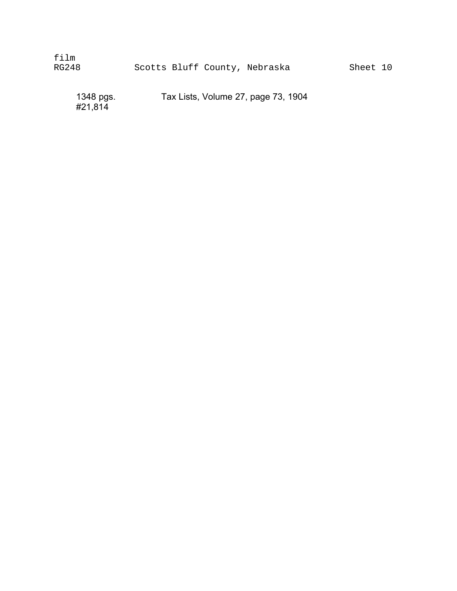| film  |  |                               |  |
|-------|--|-------------------------------|--|
| RG248 |  | Scotts Bluff County, Nebraska |  |

1348 pgs. Tax Lists, Volume 27, page 73, 1904

#21,814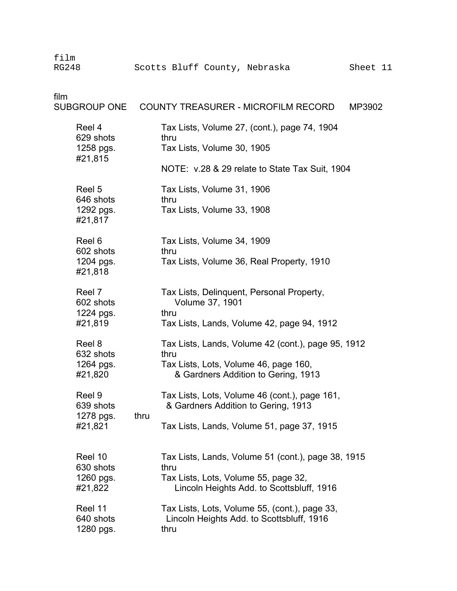film

| film                                         | SUBGROUP ONE COUNTY TREASURER - MICROFILM RECORD<br>MP3902                                                                                      |  |
|----------------------------------------------|-------------------------------------------------------------------------------------------------------------------------------------------------|--|
| Reel 4<br>629 shots<br>1258 pgs.<br>#21,815  | Tax Lists, Volume 27, (cont.), page 74, 1904<br>thru<br>Tax Lists, Volume 30, 1905                                                              |  |
|                                              | NOTE: v.28 & 29 relate to State Tax Suit, 1904                                                                                                  |  |
| Reel 5<br>646 shots<br>1292 pgs.<br>#21,817  | Tax Lists, Volume 31, 1906<br>thru<br>Tax Lists, Volume 33, 1908                                                                                |  |
| Reel 6<br>602 shots<br>1204 pgs.<br>#21,818  | Tax Lists, Volume 34, 1909<br>thru<br>Tax Lists, Volume 36, Real Property, 1910                                                                 |  |
| Reel 7<br>602 shots<br>1224 pgs.<br>#21,819  | Tax Lists, Delinquent, Personal Property,<br>Volume 37, 1901<br>thru<br>Tax Lists, Lands, Volume 42, page 94, 1912                              |  |
| Reel 8<br>632 shots<br>1264 pgs.<br>#21,820  | Tax Lists, Lands, Volume 42 (cont.), page 95, 1912<br>thru<br>Tax Lists, Lots, Volume 46, page 160,<br>& Gardners Addition to Gering, 1913      |  |
| Reel 9<br>639 shots<br>1278 pgs.<br>#21,821  | Tax Lists, Lots, Volume 46 (cont.), page 161,<br>& Gardners Addition to Gering, 1913<br>thru<br>Tax Lists, Lands, Volume 51, page 37, 1915      |  |
| Reel 10<br>630 shots<br>1260 pgs.<br>#21,822 | Tax Lists, Lands, Volume 51 (cont.), page 38, 1915<br>thru<br>Tax Lists, Lots, Volume 55, page 32,<br>Lincoln Heights Add. to Scottsbluff, 1916 |  |
| Reel 11<br>640 shots<br>1280 pgs.            | Tax Lists, Lots, Volume 55, (cont.), page 33,<br>Lincoln Heights Add. to Scottsbluff, 1916<br>thru                                              |  |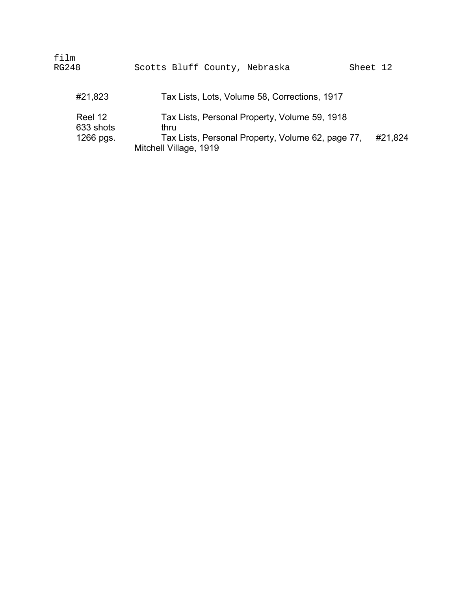| film<br>RG248                     | Scotts Bluff County, Nebraska<br>Sheet 12                                                                                                        |
|-----------------------------------|--------------------------------------------------------------------------------------------------------------------------------------------------|
| #21,823                           | Tax Lists, Lots, Volume 58, Corrections, 1917                                                                                                    |
| Reel 12<br>633 shots<br>1266 pgs. | Tax Lists, Personal Property, Volume 59, 1918<br>thru.<br>Tax Lists, Personal Property, Volume 62, page 77,<br>#21,824<br>Mitchell Village, 1919 |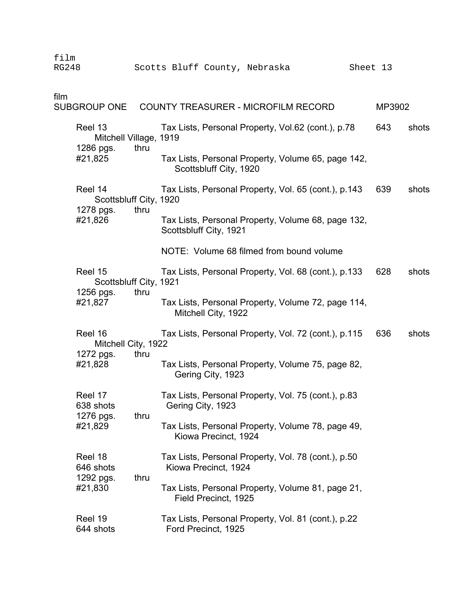| film<br><b>RG248</b> |                                                |      | Scotts Bluff County, Nebraska                                                | Sheet 13 |       |
|----------------------|------------------------------------------------|------|------------------------------------------------------------------------------|----------|-------|
| film                 | <b>SUBGROUP ONE</b>                            |      | COUNTY TREASURER - MICROFILM RECORD                                          | MP3902   |       |
|                      | Reel 13<br>Mitchell Village, 1919              |      | Tax Lists, Personal Property, Vol.62 (cont.), p.78                           | 643      | shots |
|                      | 1286 pgs.<br>#21,825                           | thru | Tax Lists, Personal Property, Volume 65, page 142,<br>Scottsbluff City, 1920 |          |       |
|                      | Reel 14<br>Scottsbluff City, 1920<br>1278 pgs. | thru | Tax Lists, Personal Property, Vol. 65 (cont.), p.143                         | 639      | shots |
|                      | #21,826                                        |      | Tax Lists, Personal Property, Volume 68, page 132,<br>Scottsbluff City, 1921 |          |       |
|                      |                                                |      | NOTE: Volume 68 filmed from bound volume                                     |          |       |
|                      | Reel 15<br>Scottsbluff City, 1921<br>1256 pgs. | thru | Tax Lists, Personal Property, Vol. 68 (cont.), p.133                         | 628      | shots |
|                      | #21,827                                        |      | Tax Lists, Personal Property, Volume 72, page 114,<br>Mitchell City, 1922    |          |       |
|                      | Reel 16<br>Mitchell City, 1922                 |      | Tax Lists, Personal Property, Vol. 72 (cont.), p.115                         | 636      | shots |
|                      | 1272 pgs.<br>#21,828                           | thru | Tax Lists, Personal Property, Volume 75, page 82,<br>Gering City, 1923       |          |       |
|                      | Reel 17<br>638 shots                           |      | Tax Lists, Personal Property, Vol. 75 (cont.), p.83<br>Gering City, 1923     |          |       |
|                      | 1276 pgs.<br>#21,829                           | thru | Tax Lists, Personal Property, Volume 78, page 49,<br>Kiowa Precinct, 1924    |          |       |
|                      | Reel 18<br>646 shots                           |      | Tax Lists, Personal Property, Vol. 78 (cont.), p.50<br>Kiowa Precinct, 1924  |          |       |
|                      | 1292 pgs.<br>#21,830                           | thru | Tax Lists, Personal Property, Volume 81, page 21,<br>Field Precinct, 1925    |          |       |
|                      | Reel 19<br>644 shots                           |      | Tax Lists, Personal Property, Vol. 81 (cont.), p.22<br>Ford Precinct, 1925   |          |       |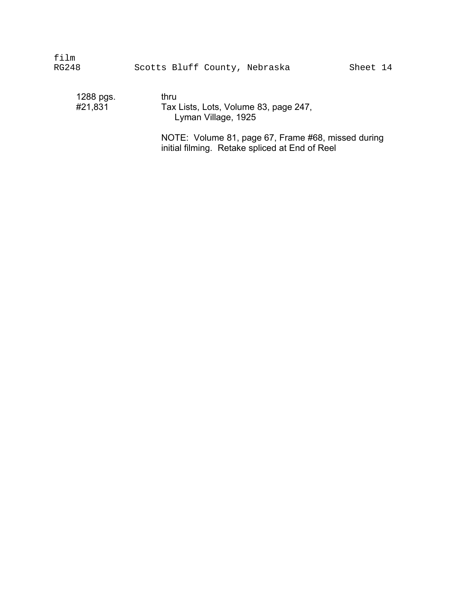film RG248 Scotts Bluff County, Nebraska Sheet 14

1288 pgs. thru<br>#21,831 Tax

Tax Lists, Lots, Volume 83, page 247, Lyman Village, 1925 �

NOTE: Volume 81, page 67, Frame #68, missed during initial filming. Retake spliced at End of Reel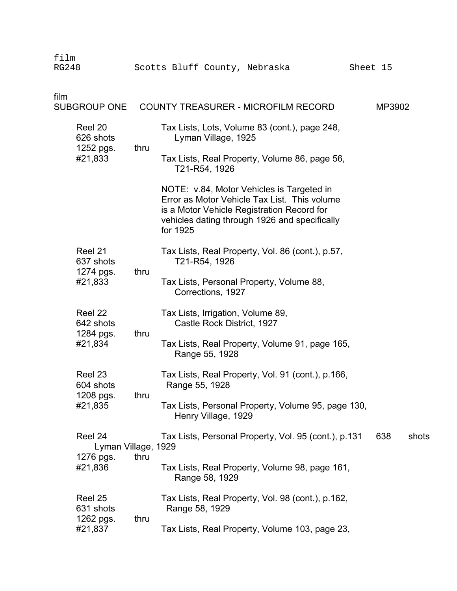| film<br><b>RG248</b>              |                             | Scotts Bluff County, Nebraska                                                                                                                                                                        | Sheet 15 |       |
|-----------------------------------|-----------------------------|------------------------------------------------------------------------------------------------------------------------------------------------------------------------------------------------------|----------|-------|
| film<br><b>SUBGROUP ONE</b>       |                             | COUNTY TREASURER - MICROFILM RECORD                                                                                                                                                                  | MP3902   |       |
| Reel 20<br>626 shots<br>1252 pgs. | thru                        | Tax Lists, Lots, Volume 83 (cont.), page 248,<br>Lyman Village, 1925                                                                                                                                 |          |       |
| #21,833                           |                             | Tax Lists, Real Property, Volume 86, page 56,<br>T21-R54, 1926                                                                                                                                       |          |       |
|                                   |                             | NOTE: v.84, Motor Vehicles is Targeted in<br>Error as Motor Vehicle Tax List. This volume<br>is a Motor Vehicle Registration Record for<br>vehicles dating through 1926 and specifically<br>for 1925 |          |       |
| Reel 21<br>637 shots<br>1274 pgs. | thru                        | Tax Lists, Real Property, Vol. 86 (cont.), p.57,<br>T21-R54, 1926                                                                                                                                    |          |       |
| #21,833                           |                             | Tax Lists, Personal Property, Volume 88,<br>Corrections, 1927                                                                                                                                        |          |       |
| Reel 22<br>642 shots<br>1284 pgs. | thru                        | Tax Lists, Irrigation, Volume 89,<br>Castle Rock District, 1927                                                                                                                                      |          |       |
| #21,834                           |                             | Tax Lists, Real Property, Volume 91, page 165,<br>Range 55, 1928                                                                                                                                     |          |       |
| Reel 23<br>604 shots<br>1208 pgs. | thru                        | Tax Lists, Real Property, Vol. 91 (cont.), p.166,<br>Range 55, 1928                                                                                                                                  |          |       |
| #21,835                           |                             | Tax Lists, Personal Property, Volume 95, page 130,<br>Henry Village, 1929                                                                                                                            |          |       |
| Reel 24<br>1276 pgs.              | Lyman Village, 1929<br>thru | Tax Lists, Personal Property, Vol. 95 (cont.), p.131                                                                                                                                                 | 638      | shots |
| #21,836                           |                             | Tax Lists, Real Property, Volume 98, page 161,<br>Range 58, 1929                                                                                                                                     |          |       |
| Reel 25<br>631 shots<br>1262 pgs. | thru                        | Tax Lists, Real Property, Vol. 98 (cont.), p.162,<br>Range 58, 1929                                                                                                                                  |          |       |
| #21,837                           |                             | Tax Lists, Real Property, Volume 103, page 23,                                                                                                                                                       |          |       |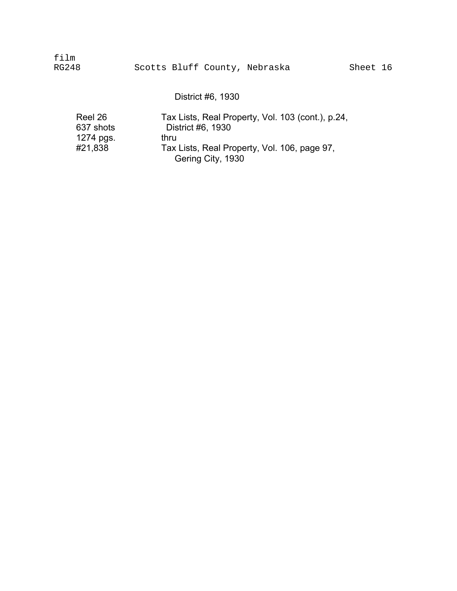film RG248 Scotts Bluff County, Nebraska Sheet 16

District #6, 1930

| Reel 26   | Tax Lists, Real Property, Vol. 103 (cont.), p.24,                 |
|-----------|-------------------------------------------------------------------|
| 637 shots | District #6, 1930                                                 |
| 1274 pgs. | thru                                                              |
| #21,838   | Tax Lists, Real Property, Vol. 106, page 97,<br>Gering City, 1930 |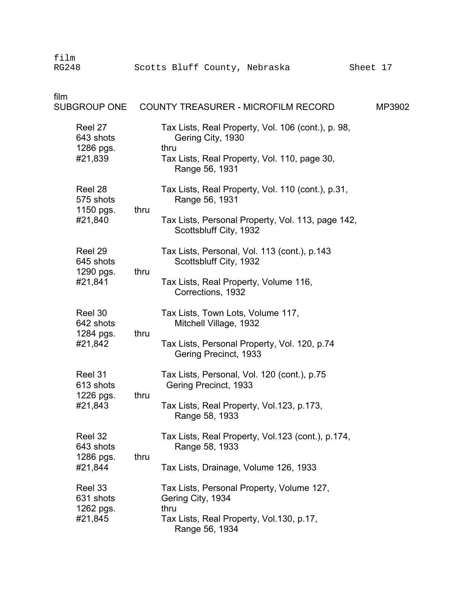| film<br><b>RG248</b>                         |      | Scotts Bluff County, Nebraska                                                                                                                     | Sheet 17 |
|----------------------------------------------|------|---------------------------------------------------------------------------------------------------------------------------------------------------|----------|
| film<br><b>SUBGROUP ONE</b>                  |      | COUNTY TREASURER - MICROFILM RECORD                                                                                                               | MP3902   |
| Reel 27<br>643 shots<br>1286 pgs.<br>#21,839 |      | Tax Lists, Real Property, Vol. 106 (cont.), p. 98,<br>Gering City, 1930<br>thru<br>Tax Lists, Real Property, Vol. 110, page 30,<br>Range 56, 1931 |          |
| Reel 28<br>575 shots<br>1150 pgs.            | thru | Tax Lists, Real Property, Vol. 110 (cont.), p.31,<br>Range 56, 1931                                                                               |          |
| #21,840                                      |      | Tax Lists, Personal Property, Vol. 113, page 142,<br>Scottsbluff City, 1932                                                                       |          |
| Reel 29<br>645 shots<br>1290 pgs.            | thru | Tax Lists, Personal, Vol. 113 (cont.), p.143<br>Scottsbluff City, 1932                                                                            |          |
| #21,841                                      |      | Tax Lists, Real Property, Volume 116,<br>Corrections, 1932                                                                                        |          |
| Reel 30<br>642 shots<br>1284 pgs.            | thru | Tax Lists, Town Lots, Volume 117,<br>Mitchell Village, 1932                                                                                       |          |
| #21,842                                      |      | Tax Lists, Personal Property, Vol. 120, p.74<br>Gering Precinct, 1933                                                                             |          |
| Reel 31<br>613 shots<br>1226 pgs.            | thru | Tax Lists, Personal, Vol. 120 (cont.), p.75<br>Gering Precinct, 1933                                                                              |          |
| #21,843                                      |      | Tax Lists, Real Property, Vol.123, p.173,<br>Range 58, 1933                                                                                       |          |
| Reel 32<br>643 shots<br>1286 pgs.            | thru | Tax Lists, Real Property, Vol.123 (cont.), p.174,<br>Range 58, 1933                                                                               |          |
| #21,844                                      |      | Tax Lists, Drainage, Volume 126, 1933                                                                                                             |          |
| Reel 33<br>631 shots<br>1262 pgs.            |      | Tax Lists, Personal Property, Volume 127,<br>Gering City, 1934<br>thru                                                                            |          |
| #21,845                                      |      | Tax Lists, Real Property, Vol. 130, p. 17,<br>Range 56, 1934                                                                                      |          |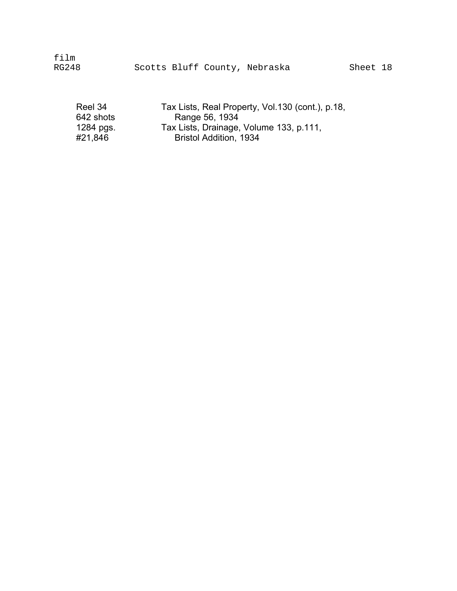film

| Reel 34   | Tax Lists, Real Property, Vol.130 (cont.), p.18, |
|-----------|--------------------------------------------------|
| 642 shots | Range 56, 1934                                   |
| 1284 pgs. | Tax Lists, Drainage, Volume 133, p.111,          |
| #21,846   | <b>Bristol Addition, 1934</b>                    |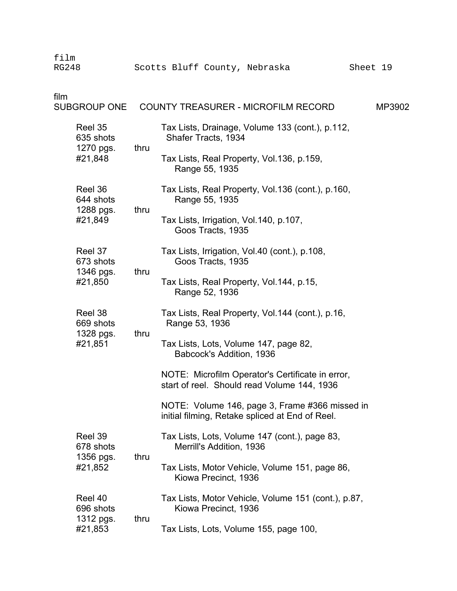| film<br><b>RG248</b> |                                              |      | Scotts Bluff County, Nebraska                                                                     | Sheet 19                                                                    |        |  |
|----------------------|----------------------------------------------|------|---------------------------------------------------------------------------------------------------|-----------------------------------------------------------------------------|--------|--|
| film                 | <b>SUBGROUP ONE</b>                          |      | <b>COUNTY TREASURER - MICROFILM RECORD</b>                                                        |                                                                             | MP3902 |  |
|                      | Reel 35<br>635 shots<br>1270 pgs.            | thru | Tax Lists, Drainage, Volume 133 (cont.), p.112,<br>Shafer Tracts, 1934                            |                                                                             |        |  |
|                      | #21,848                                      |      | Tax Lists, Real Property, Vol.136, p.159,<br>Range 55, 1935                                       |                                                                             |        |  |
|                      | Reel 36<br>644 shots                         | thru | Tax Lists, Real Property, Vol.136 (cont.), p.160,<br>Range 55, 1935                               |                                                                             |        |  |
|                      | 1288 pgs.<br>#21,849                         |      | Tax Lists, Irrigation, Vol. 140, p. 107,<br>Goos Tracts, 1935                                     |                                                                             |        |  |
|                      | Reel 37<br>673 shots<br>1346 pgs.            |      | Tax Lists, Irrigation, Vol.40 (cont.), p.108,<br>Goos Tracts, 1935                                |                                                                             |        |  |
|                      | #21,850                                      | thru | Tax Lists, Real Property, Vol. 144, p. 15,<br>Range 52, 1936                                      |                                                                             |        |  |
|                      | Reel 38<br>669 shots                         |      | Tax Lists, Real Property, Vol. 144 (cont.), p. 16,<br>Range 53, 1936                              |                                                                             |        |  |
|                      | 1328 pgs.<br>#21,851                         | thru | Tax Lists, Lots, Volume 147, page 82,<br>Babcock's Addition, 1936                                 |                                                                             |        |  |
|                      |                                              |      | NOTE: Microfilm Operator's Certificate in error,<br>start of reel. Should read Volume 144, 1936   |                                                                             |        |  |
|                      |                                              |      | NOTE: Volume 146, page 3, Frame #366 missed in<br>initial filming, Retake spliced at End of Reel. |                                                                             |        |  |
|                      | Reel 39<br>678 shots                         |      | Tax Lists, Lots, Volume 147 (cont.), page 83,<br>Merrill's Addition, 1936                         |                                                                             |        |  |
|                      | 1356 pgs.<br>#21,852                         | thru | Tax Lists, Motor Vehicle, Volume 151, page 86,<br>Kiowa Precinct, 1936                            |                                                                             |        |  |
|                      | Reel 40<br>696 shots<br>1312 pgs.<br>#21,853 |      |                                                                                                   | Tax Lists, Motor Vehicle, Volume 151 (cont.), p.87,<br>Kiowa Precinct, 1936 |        |  |
|                      |                                              | thru | Tax Lists, Lots, Volume 155, page 100,                                                            |                                                                             |        |  |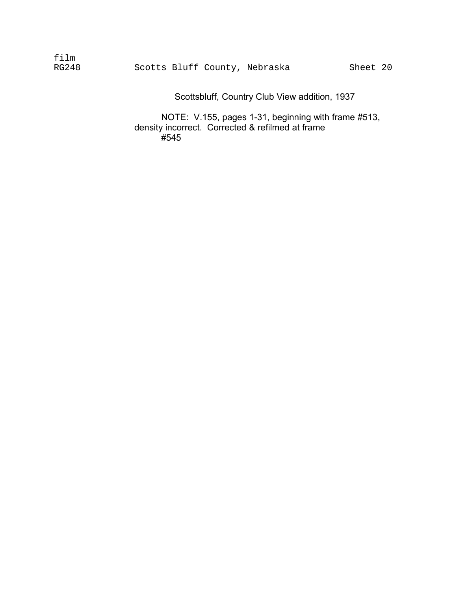| film  |  |                               |
|-------|--|-------------------------------|
| RG248 |  | Scotts Bluff County, Nebraska |

Scottsbluff, Country Club View addition, 1937

NOTE: V.155, pages 1-31, beginning with frame #513, density incorrect. Corrected & refilmed at frame ,<br>#545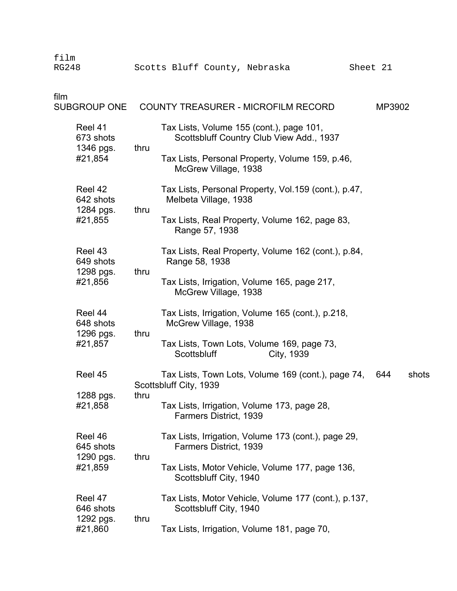| film<br><b>RG248</b>              |      | Scotts Bluff County, Nebraska                                                        | Sheet 21 |       |
|-----------------------------------|------|--------------------------------------------------------------------------------------|----------|-------|
| film<br><b>SUBGROUP ONE</b>       |      | <b>COUNTY TREASURER - MICROFILM RECORD</b>                                           | MP3902   |       |
| Reel 41<br>673 shots<br>1346 pgs. | thru | Tax Lists, Volume 155 (cont.), page 101,<br>Scottsbluff Country Club View Add., 1937 |          |       |
| #21,854                           |      | Tax Lists, Personal Property, Volume 159, p.46,<br>McGrew Village, 1938              |          |       |
| Reel 42<br>642 shots<br>1284 pgs. | thru | Tax Lists, Personal Property, Vol.159 (cont.), p.47,<br>Melbeta Village, 1938        |          |       |
| #21,855                           |      | Tax Lists, Real Property, Volume 162, page 83,<br>Range 57, 1938                     |          |       |
| Reel 43<br>649 shots<br>1298 pgs. | thru | Tax Lists, Real Property, Volume 162 (cont.), p.84,<br>Range 58, 1938                |          |       |
| #21,856                           |      | Tax Lists, Irrigation, Volume 165, page 217,<br>McGrew Village, 1938                 |          |       |
| Reel 44<br>648 shots<br>1296 pgs. | thru | Tax Lists, Irrigation, Volume 165 (cont.), p.218,<br>McGrew Village, 1938            |          |       |
| #21,857                           |      | Tax Lists, Town Lots, Volume 169, page 73,<br>Scottsbluff<br>City, 1939              |          |       |
| Reel 45                           | thru | Tax Lists, Town Lots, Volume 169 (cont.), page 74,<br>Scottsbluff City, 1939         | 644      | shots |
| 1288 pgs.<br>#21,858              |      | Tax Lists, Irrigation, Volume 173, page 28,<br><b>Farmers District, 1939</b>         |          |       |
| Reel 46<br>645 shots              |      | Tax Lists, Irrigation, Volume 173 (cont.), page 29,<br>Farmers District, 1939        |          |       |
| 1290 pgs.<br>#21,859              | thru | Tax Lists, Motor Vehicle, Volume 177, page 136,<br>Scottsbluff City, 1940            |          |       |
| Reel 47<br>646 shots              |      | Tax Lists, Motor Vehicle, Volume 177 (cont.), p.137,<br>Scottsbluff City, 1940       |          |       |
| 1292 pgs.<br>#21,860              | thru | Tax Lists, Irrigation, Volume 181, page 70,                                          |          |       |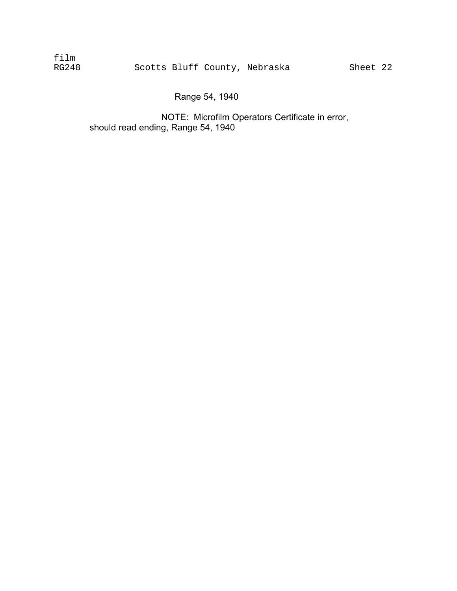film RG248 Scotts Bluff County, Nebraska Sheet 22

NOTE: Microfilm Operators Certificate in error, should read ending, Range 54, 1940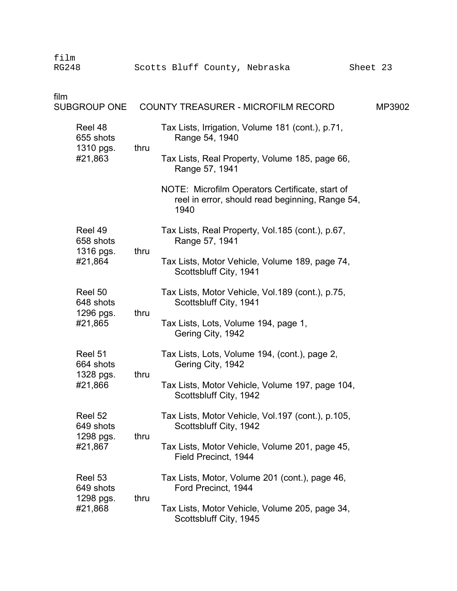| film<br><b>RG248</b> |                                   |      | Scotts Bluff County, Nebraska                                                                              | Sheet 23 |        |
|----------------------|-----------------------------------|------|------------------------------------------------------------------------------------------------------------|----------|--------|
| film                 | <b>SUBGROUP ONE</b>               |      | <b>COUNTY TREASURER - MICROFILM RECORD</b>                                                                 |          | MP3902 |
|                      | Reel 48<br>655 shots<br>1310 pgs. | thru | Tax Lists, Irrigation, Volume 181 (cont.), p.71,<br>Range 54, 1940                                         |          |        |
|                      | #21,863                           |      | Tax Lists, Real Property, Volume 185, page 66,<br>Range 57, 1941                                           |          |        |
|                      |                                   |      | NOTE: Microfilm Operators Certificate, start of<br>reel in error, should read beginning, Range 54,<br>1940 |          |        |
|                      | Reel 49<br>658 shots<br>1316 pgs. | thru | Tax Lists, Real Property, Vol.185 (cont.), p.67,<br>Range 57, 1941                                         |          |        |
|                      | #21,864                           |      | Tax Lists, Motor Vehicle, Volume 189, page 74,<br>Scottsbluff City, 1941                                   |          |        |
|                      | Reel 50<br>648 shots<br>1296 pgs. | thru | Tax Lists, Motor Vehicle, Vol. 189 (cont.), p.75,<br>Scottsbluff City, 1941                                |          |        |
|                      | #21,865                           |      | Tax Lists, Lots, Volume 194, page 1,<br>Gering City, 1942                                                  |          |        |
|                      | Reel 51<br>664 shots<br>1328 pgs. | thru | Tax Lists, Lots, Volume 194, (cont.), page 2,<br>Gering City, 1942                                         |          |        |
|                      | #21,866                           |      | Tax Lists, Motor Vehicle, Volume 197, page 104,<br>Scottsbluff City, 1942                                  |          |        |
|                      | Reel 52<br>649 shots<br>1298 pgs. | thru | Tax Lists, Motor Vehicle, Vol.197 (cont.), p.105,<br>Scottsbluff City, 1942                                |          |        |
|                      | #21,867                           |      | Tax Lists, Motor Vehicle, Volume 201, page 45,<br>Field Precinct, 1944                                     |          |        |
|                      | Reel 53<br>649 shots              | thru | Tax Lists, Motor, Volume 201 (cont.), page 46,<br>Ford Precinct, 1944                                      |          |        |
| 1298 pgs.<br>#21,868 |                                   |      | Tax Lists, Motor Vehicle, Volume 205, page 34,<br>Scottsbluff City, 1945                                   |          |        |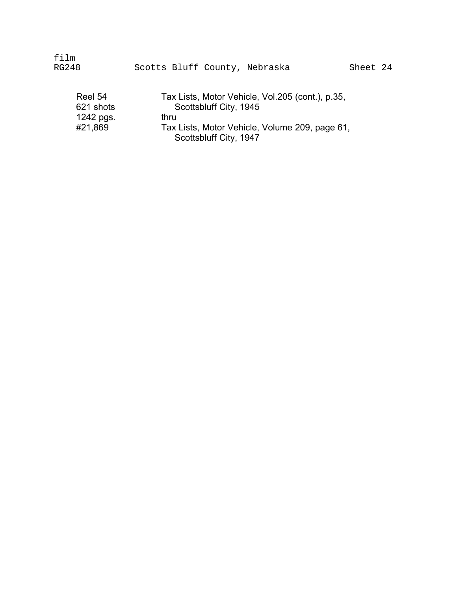| RG248                             | Scotts Bluff County, Nebraska                                                      | Sheet 24 |
|-----------------------------------|------------------------------------------------------------------------------------|----------|
| Reel 54<br>621 shots<br>1242 pgs. | Tax Lists, Motor Vehicle, Vol.205 (cont.), p.35,<br>Scottsbluff City, 1945<br>thru |          |

#21,869 Tax Lists, Motor Vehicle, Volume 209, page 61, Scottsbluff City, 1947

film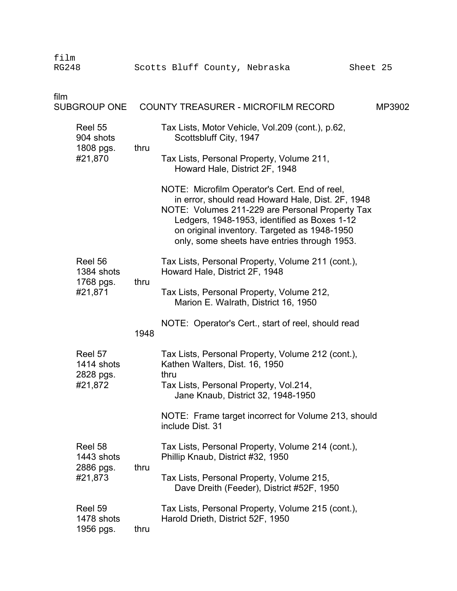|                                    | film<br><b>RG248</b>               |      | Scotts Bluff County, Nebraska                                                                                                                                                                                                                                                                         | Sheet 25 |
|------------------------------------|------------------------------------|------|-------------------------------------------------------------------------------------------------------------------------------------------------------------------------------------------------------------------------------------------------------------------------------------------------------|----------|
|                                    | film<br><b>SUBGROUP ONE</b>        |      | <b>COUNTY TREASURER - MICROFILM RECORD</b>                                                                                                                                                                                                                                                            | MP3902   |
|                                    | Reel 55<br>904 shots               |      | Tax Lists, Motor Vehicle, Vol.209 (cont.), p.62,<br>Scottsbluff City, 1947                                                                                                                                                                                                                            |          |
|                                    | 1808 pgs.<br>#21,870               | thru | Tax Lists, Personal Property, Volume 211,<br>Howard Hale, District 2F, 1948                                                                                                                                                                                                                           |          |
|                                    |                                    |      | NOTE: Microfilm Operator's Cert. End of reel,<br>in error, should read Howard Hale, Dist. 2F, 1948<br>NOTE: Volumes 211-229 are Personal Property Tax<br>Ledgers, 1948-1953, identified as Boxes 1-12<br>on original inventory. Targeted as 1948-1950<br>only, some sheets have entries through 1953. |          |
|                                    | Reel 56<br>1384 shots              |      | Tax Lists, Personal Property, Volume 211 (cont.),<br>Howard Hale, District 2F, 1948                                                                                                                                                                                                                   |          |
|                                    | 1768 pgs.<br>#21,871               | thru | Tax Lists, Personal Property, Volume 212,<br>Marion E. Walrath, District 16, 1950                                                                                                                                                                                                                     |          |
|                                    |                                    | 1948 | NOTE: Operator's Cert., start of reel, should read                                                                                                                                                                                                                                                    |          |
| Reel 57<br>1414 shots<br>2828 pgs. |                                    |      | Tax Lists, Personal Property, Volume 212 (cont.),<br>Kathen Walters, Dist. 16, 1950<br>thru                                                                                                                                                                                                           |          |
|                                    | #21,872                            |      | Tax Lists, Personal Property, Vol.214<br>Jane Knaub, District 32, 1948-1950                                                                                                                                                                                                                           |          |
|                                    |                                    |      | NOTE: Frame target incorrect for Volume 213, should<br>include Dist. 31                                                                                                                                                                                                                               |          |
|                                    | Reel 58<br>1443 shots              |      | Tax Lists, Personal Property, Volume 214 (cont.),<br>Phillip Knaub, District #32, 1950                                                                                                                                                                                                                |          |
|                                    | 2886 pgs.<br>#21,873               | thru | Tax Lists, Personal Property, Volume 215,<br>Dave Dreith (Feeder), District #52F, 1950                                                                                                                                                                                                                |          |
|                                    | Reel 59<br>1478 shots<br>1956 pgs. | thru | Tax Lists, Personal Property, Volume 215 (cont.),<br>Harold Drieth, District 52F, 1950                                                                                                                                                                                                                |          |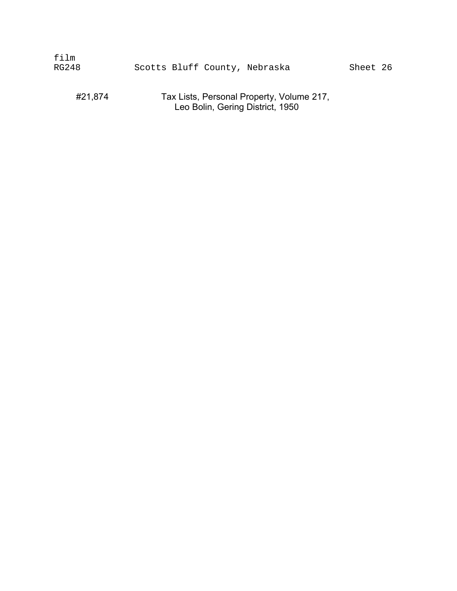| film  |  |                               |          |  |
|-------|--|-------------------------------|----------|--|
| RG248 |  | Scotts Bluff County, Nebraska | Sheet 26 |  |
|       |  |                               |          |  |

### #21,874 Tax Lists, Personal Property, Volume 217, Leo Bolin, Gering District, 1950 �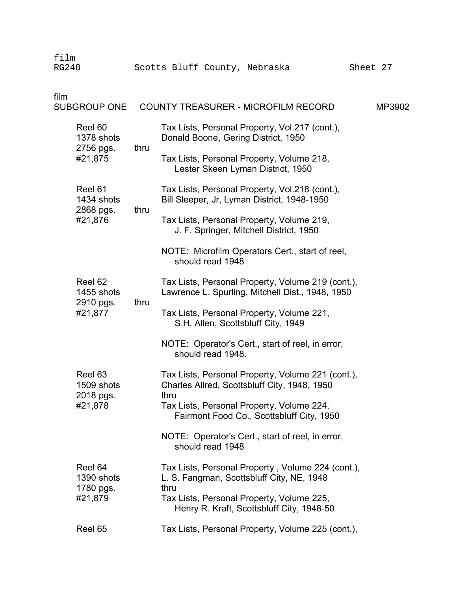| film<br><b>RG248</b> |                       |      | Scotts Bluff County, Nebraska                                                                         | Sheet 27 |        |
|----------------------|-----------------------|------|-------------------------------------------------------------------------------------------------------|----------|--------|
| film                 | <b>SUBGROUP ONE</b>   |      | <b>COUNTY TREASURER - MICROFILM RECORD</b>                                                            |          | MP3902 |
|                      | Reel 60<br>1378 shots |      | Tax Lists, Personal Property, Vol.217 (cont.),<br>Donald Boone, Gering District, 1950                 |          |        |
| 2756 pgs.<br>#21,875 |                       | thru | Tax Lists, Personal Property, Volume 218,<br>Lester Skeen Lyman District, 1950                        |          |        |
|                      | Reel 61<br>1434 shots | thru | Tax Lists, Personal Property, Vol.218 (cont.),<br>Bill Sleeper, Jr, Lyman District, 1948-1950         |          |        |
|                      | 2868 pgs.<br>#21,876  |      | Tax Lists, Personal Property, Volume 219,<br>J. F. Springer, Mitchell District, 1950                  |          |        |
|                      |                       |      | NOTE: Microfilm Operators Cert., start of reel,<br>should read 1948                                   |          |        |
|                      | Reel 62<br>1455 shots | thru | Tax Lists, Personal Property, Volume 219 (cont.),<br>Lawrence L. Spurling, Mitchell Dist., 1948, 1950 |          |        |
|                      | 2910 pgs.<br>#21,877  |      | Tax Lists, Personal Property, Volume 221,<br>S.H. Allen, Scottsbluff City, 1949                       |          |        |
|                      |                       |      | NOTE: Operator's Cert., start of reel, in error,<br>should read 1948.                                 |          |        |
|                      | Reel 63<br>1509 shots |      | Tax Lists, Personal Property, Volume 221 (cont.),<br>Charles Allred, Scottsbluff City, 1948, 1950     |          |        |
|                      | 2018 pgs.<br>#21,878  |      | thru<br>Tax Lists, Personal Property, Volume 224,<br>Fairmont Food Co., Scottsbluff City, 1950        |          |        |
|                      |                       |      | NOTE: Operator's Cert., start of reel, in error,<br>should read 1948                                  |          |        |
|                      | Reel 64<br>1390 shots |      | Tax Lists, Personal Property, Volume 224 (cont.),<br>L. S. Fangman, Scottsbluff City, NE, 1948        |          |        |
|                      | 1780 pgs.<br>#21,879  |      | thru<br>Tax Lists, Personal Property, Volume 225,<br>Henry R. Kraft, Scottsbluff City, 1948-50        |          |        |
|                      | Reel 65               |      | Tax Lists, Personal Property, Volume 225 (cont.),                                                     |          |        |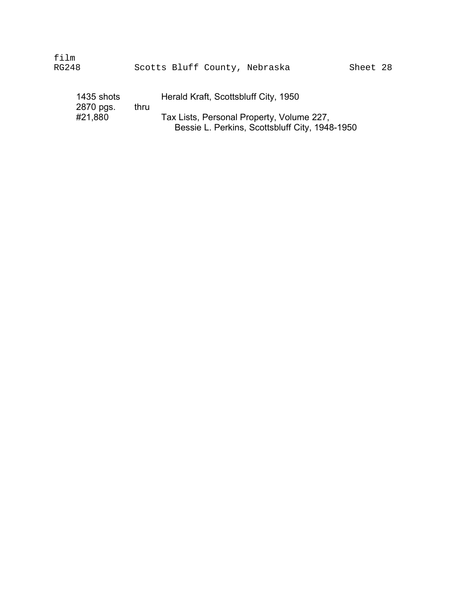| film<br>RG248                      |      | Scotts Bluff County, Nebraska                                                                                                       | Sheet 28 |  |
|------------------------------------|------|-------------------------------------------------------------------------------------------------------------------------------------|----------|--|
| 1435 shots<br>2870 pgs.<br>#21,880 | thru | Herald Kraft, Scottsbluff City, 1950<br>Tax Lists, Personal Property, Volume 227,<br>Bessie L. Perkins, Scottsbluff City, 1948-1950 |          |  |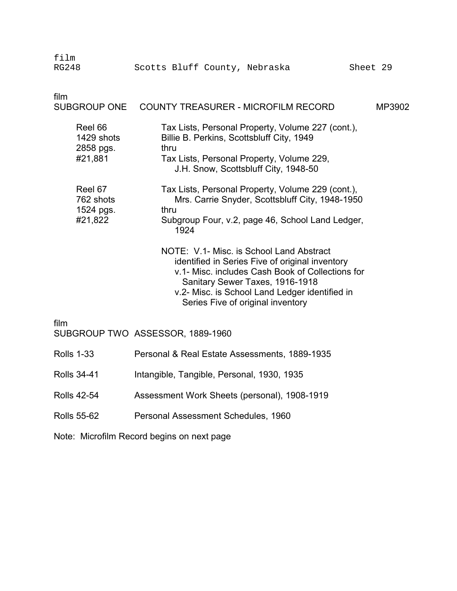| film<br><b>RG248</b>                          | Scotts Bluff County, Nebraska                                                                                                                                                                                                                                             | Sheet 29 |  |  |  |
|-----------------------------------------------|---------------------------------------------------------------------------------------------------------------------------------------------------------------------------------------------------------------------------------------------------------------------------|----------|--|--|--|
| film<br><b>SUBGROUP ONE</b>                   | <b>COUNTY TREASURER - MICROFILM RECORD</b>                                                                                                                                                                                                                                | MP3902   |  |  |  |
| Reel 66<br>1429 shots<br>2858 pgs.<br>#21,881 | Tax Lists, Personal Property, Volume 227 (cont.),<br>Billie B. Perkins, Scottsbluff City, 1949<br>thru<br>Tax Lists, Personal Property, Volume 229,<br>J.H. Snow, Scottsbluff City, 1948-50                                                                               |          |  |  |  |
| Reel 67<br>762 shots<br>1524 pgs.<br>#21,822  | Tax Lists, Personal Property, Volume 229 (cont.),<br>Mrs. Carrie Snyder, Scottsbluff City, 1948-1950<br>thru<br>Subgroup Four, v.2, page 46, School Land Ledger,<br>1924                                                                                                  |          |  |  |  |
|                                               | NOTE: V.1- Misc. is School Land Abstract<br>identified in Series Five of original inventory<br>v.1- Misc. includes Cash Book of Collections for<br>Sanitary Sewer Taxes, 1916-1918<br>v.2- Misc. is School Land Ledger identified in<br>Series Five of original inventory |          |  |  |  |
| film                                          | SUBGROUP TWO ASSESSOR, 1889-1960                                                                                                                                                                                                                                          |          |  |  |  |
| <b>Rolls 1-33</b>                             | Personal & Real Estate Assessments, 1889-1935                                                                                                                                                                                                                             |          |  |  |  |
| <b>Rolls 34-41</b>                            | Intangible, Tangible, Personal, 1930, 1935                                                                                                                                                                                                                                |          |  |  |  |
| <b>Rolls 42-54</b>                            | Assessment Work Sheets (personal), 1908-1919                                                                                                                                                                                                                              |          |  |  |  |
| <b>Rolls 55-62</b>                            | Personal Assessment Schedules, 1960                                                                                                                                                                                                                                       |          |  |  |  |

Note: Microfilm Record begins on next page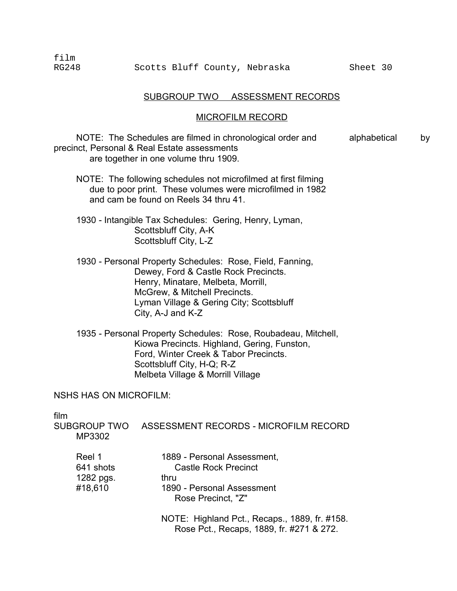#### SUBGROUP TWO ASSESSMENT RECORDS

#### MICROFILM RECORD

NOTE: The Schedules are filmed in chronological order and alphabetical by precinct, Personal & Real Estate assessments are together in one volume thru 1909.

- NOTE: The following schedules not microfilmed at first filming due to poor print. These volumes were microfilmed in 1982 and cam be found on Reels 34 thru 41.
- 1930 Intangible Tax Schedules: Gering, Henry, Lyman, Scottsbluff City, A-K Scottsbluff City, L-Z
- 1930 Personal Property Schedules: Rose, Field, Fanning, Dewey, Ford & Castle Rock Precincts. Henry, Minatare, Melbeta, Morrill, McGrew, & Mitchell Precincts. Lyman Village & Gering City; Scottsbluff � City, A-J and K-Z
- 1935 Personal Property Schedules: Rose, Roubadeau, Mitchell, Kiowa Precincts. Highland, Gering, Funston, Ford, Winter Creek & Tabor Precincts. Scottsbluff City, H-Q; R-Z Melbeta Village & Morrill Village

NSHS HAS ON MICROFILM:

film

SUBGROUP TWO ASSESSMENT RECORDS - MICROFILM RECORD MP3302

| Reel 1    | 1889 - Personal Assessment,                      |
|-----------|--------------------------------------------------|
| 641 shots | <b>Castle Rock Precinct</b>                      |
| 1282 pgs. | thru                                             |
| #18,610   | 1890 - Personal Assessment<br>Rose Precinct, "Z" |
|           | NOTE: Ughland Det, Desans                        |

NOTE: Highland Pct., Recaps., 1889, fr. #158. Rose Pct., Recaps, 1889, fr. #271 & 272.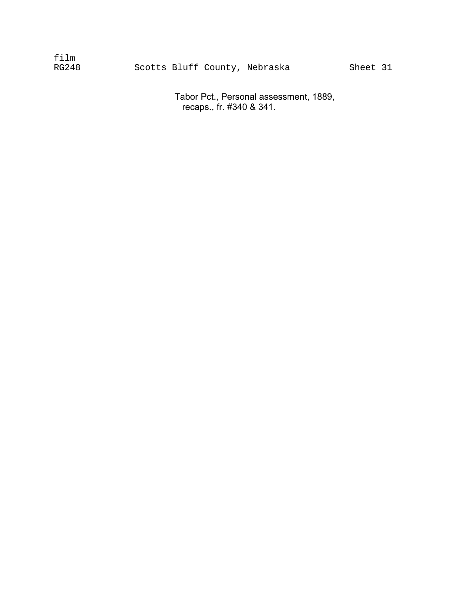| film  |  |                         |  |
|-------|--|-------------------------|--|
| RG248 |  | Scotts Bluff County, Ne |  |

braska Sheet 31

Tabor Pct., Personal assessment, 1889, recaps., fr. #340 & 341.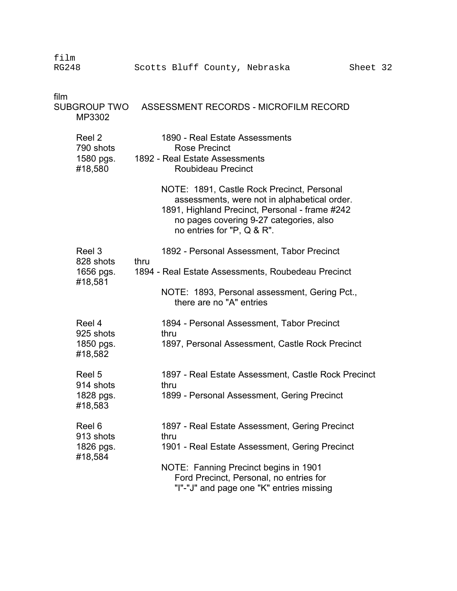| film<br><b>RG248</b>                        | Scotts Bluff County, Nebraska                                                                                                                                                                                         | Sheet 32 |
|---------------------------------------------|-----------------------------------------------------------------------------------------------------------------------------------------------------------------------------------------------------------------------|----------|
| film<br>MP3302                              | SUBGROUP TWO ASSESSMENT RECORDS - MICROFILM RECORD                                                                                                                                                                    |          |
| Reel 2<br>790 shots<br>1580 pgs.<br>#18,580 | 1890 - Real Estate Assessments<br><b>Rose Precinct</b><br>1892 - Real Estate Assessments<br>Roubideau Precinct                                                                                                        |          |
|                                             | NOTE: 1891, Castle Rock Precinct, Personal<br>assessments, were not in alphabetical order.<br>1891, Highland Precinct, Personal - frame #242<br>no pages covering 9-27 categories, also<br>no entries for "P, Q & R". |          |
| Reel 3<br>828 shots                         | 1892 - Personal Assessment, Tabor Precinct<br>thru                                                                                                                                                                    |          |
| 1656 pgs.<br>#18,581                        | 1894 - Real Estate Assessments, Roubedeau Precinct                                                                                                                                                                    |          |
|                                             | NOTE: 1893, Personal assessment, Gering Pct.,<br>there are no "A" entries                                                                                                                                             |          |
| Reel 4<br>925 shots                         | 1894 - Personal Assessment, Tabor Precinct                                                                                                                                                                            |          |
| 1850 pgs.<br>#18,582                        | thru<br>1897, Personal Assessment, Castle Rock Precinct                                                                                                                                                               |          |
| Reel 5<br>914 shots                         | 1897 - Real Estate Assessment, Castle Rock Precinct<br>thru                                                                                                                                                           |          |
| 1828 pgs.<br>#18,583                        | 1899 - Personal Assessment, Gering Precinct                                                                                                                                                                           |          |
| Reel 6                                      | 1897 - Real Estate Assessment, Gering Precinct                                                                                                                                                                        |          |
| 913 shots<br>1826 pgs.<br>#18,584           | thru<br>1901 - Real Estate Assessment, Gering Precinct                                                                                                                                                                |          |
|                                             | NOTE: Fanning Precinct begins in 1901<br>Ford Precinct, Personal, no entries for<br>"I"-"J" and page one "K" entries missing                                                                                          |          |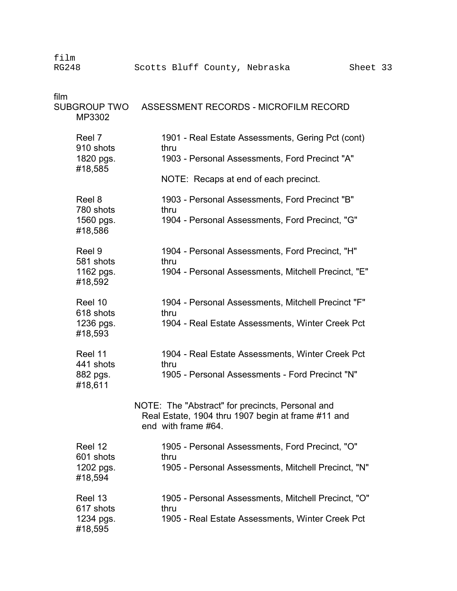film RG248 Scotts Bluff County, Nebraska Sheet 33 film SUBGROUP TWO ASSESSMENT RECORDS - MICROFILM RECORD MP3302 Reel 7 1901 - Real Estate Assessments, Gering Pct (cont)

910 shots thru 1820 pgs. 1903 - Personal Assessments, Ford Precinct "A" #18,585 NOTE: Recaps at end of each precinct. Reel 8 1903 - Personal Assessments, Ford Precinct "B" 780 shots thru 1560 pgs. 1904 - Personal Assessments, Ford Precinct, "G" #18,586 Reel 9 1904 - Personal Assessments, Ford Precinct, "H" 581 shots thru 1162 pgs. 1904 - Personal Assessments, Mitchell Precinct, "E" #18,592 Reel 10 1904 - Personal Assessments, Mitchell Precinct "F" 618 shots thru 1236 pgs. 1904 - Real Estate Assessments, Winter Creek Pct #18,593 Reel 11 1904 - Real Estate Assessments, Winter Creek Pct 441 shots thru 882 pgs. 1905 - Personal Assessments - Ford Precinct "N" #18,611 NOTE: The "Abstract" for precincts, Personal and Real Estate, 1904 thru 1907 begin at frame #11 and end with frame #64. Reel 12 1905 - Personal Assessments, Ford Precinct, "O" 601 shots thru 1202 pgs. 1905 - Personal Assessments, Mitchell Precinct, "N" #18,594

| Reel 13   | 1905 - Personal Assessments, Mitchell Precinct, "O" |
|-----------|-----------------------------------------------------|
| 617 shots | thru                                                |
| 1234 pgs. | 1905 - Real Estate Assessments, Winter Creek Pct    |
| #18,595   |                                                     |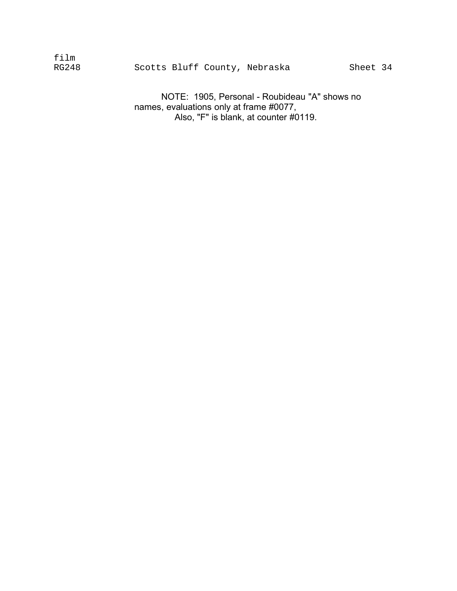| film  |  |                               |
|-------|--|-------------------------------|
| RG248 |  | Scotts Bluff County, Nebraska |

NOTE: 1905, Personal - Roubideau "A" shows no names, evaluations only at frame #0077, Also, "F" is blank, at counter #0119.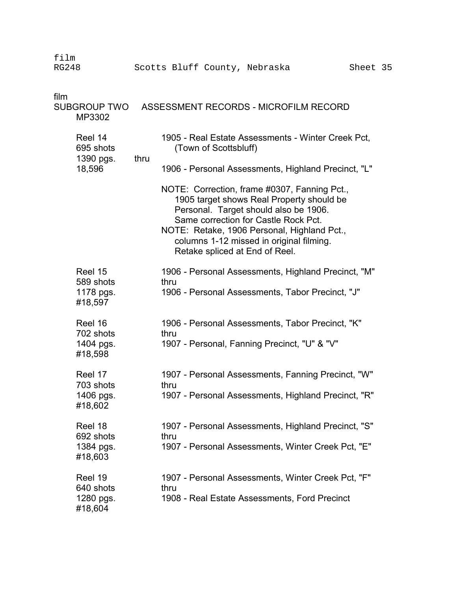RG248 Scotts Bluff County, Nebraska Sheet 35 film SUBGROUP TWO ASSESSMENT RECORDS - MICROFILM RECORD MP3302 Reel 14 1905 - Real Estate Assessments - Winter Creek Pct, 695 shots (Town of Scottsbluff) 1390 pgs. thru 18,596 1906 - Personal Assessments, Highland Precinct, "L" NOTE: Correction, frame #0307, Fanning Pct., 1905 target shows Real Property should be Personal. Target should also be 1906. Same correction for Castle Rock Pct. NOTE: Retake, 1906 Personal, Highland Pct., columns 1-12 missed in original filming. Retake spliced at End of Reel. Reel 15 1906 - Personal Assessments, Highland Precinct, "M" 589 shots thru 1178 pgs. 1906 - Personal Assessments, Tabor Precinct, "J" #18,597 Reel 16 1906 - Personal Assessments, Tabor Precinct, "K" 702 shots thru 1404 pgs. 1907 - Personal, Fanning Precinct, "U" & "V" #18,598 Reel 17 1907 - Personal Assessments, Fanning Precinct, "W" 703 shots thru 1406 pgs. 1907 - Personal Assessments, Highland Precinct, "R" #18,602 Reel 18 1907 - Personal Assessments, Highland Precinct, "S" 692 shots thru 1384 pgs. 1907 - Personal Assessments, Winter Creek Pct, "E" #18,603 Reel 19 1907 - Personal Assessments, Winter Creek Pct, "F" 640 shots thru 1280 pgs. 1908 - Real Estate Assessments, Ford Precinct

film

#18,604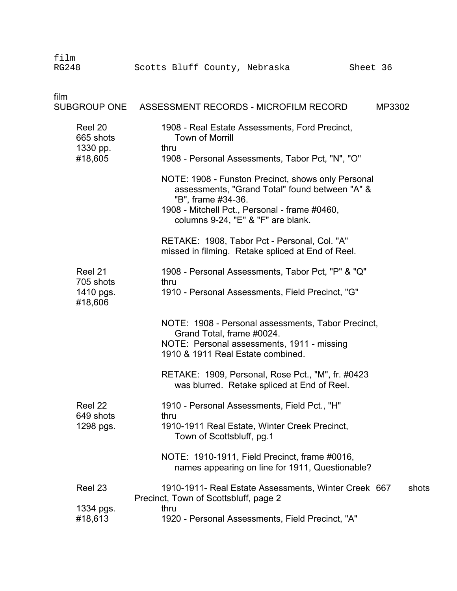| film<br><b>RG248</b>                         | Scotts Bluff County, Nebraska<br>Sheet 36                                                                                                                                                                         |
|----------------------------------------------|-------------------------------------------------------------------------------------------------------------------------------------------------------------------------------------------------------------------|
| film                                         | SUBGROUP ONE ASSESSMENT RECORDS - MICROFILM RECORD<br>MP3302                                                                                                                                                      |
| Reel 20<br>665 shots<br>1330 pp.<br>#18,605  | 1908 - Real Estate Assessments, Ford Precinct,<br><b>Town of Morrill</b><br>thru<br>1908 - Personal Assessments, Tabor Pct, "N", "O"                                                                              |
|                                              | NOTE: 1908 - Funston Precinct, shows only Personal<br>assessments, "Grand Total" found between "A" &<br>"B", frame #34-36.<br>1908 - Mitchell Pct., Personal - frame #0460,<br>columns 9-24, "E" & "F" are blank. |
|                                              | RETAKE: 1908, Tabor Pct - Personal, Col. "A"<br>missed in filming. Retake spliced at End of Reel.                                                                                                                 |
| Reel 21<br>705 shots<br>1410 pgs.<br>#18,606 | 1908 - Personal Assessments, Tabor Pct, "P" & "Q"<br>thru<br>1910 - Personal Assessments, Field Precinct, "G"                                                                                                     |
|                                              | NOTE: 1908 - Personal assessments, Tabor Precinct,<br>Grand Total, frame #0024.<br>NOTE: Personal assessments, 1911 - missing<br>1910 & 1911 Real Estate combined.                                                |
|                                              | RETAKE: 1909, Personal, Rose Pct., "M", fr. #0423<br>was blurred. Retake spliced at End of Reel.                                                                                                                  |
| Reel 22<br>649 shots<br>1298 pgs.            | 1910 - Personal Assessments, Field Pct., "H"<br>thru<br>1910-1911 Real Estate, Winter Creek Precinct,<br>Town of Scottsbluff, pg.1                                                                                |
|                                              | NOTE: 1910-1911, Field Precinct, frame #0016,<br>names appearing on line for 1911, Questionable?                                                                                                                  |
| Reel 23                                      | 1910-1911- Real Estate Assessments, Winter Creek 667<br>shots<br>Precinct, Town of Scottsbluff, page 2                                                                                                            |
| 1334 pgs.<br>#18,613                         | thru<br>1920 - Personal Assessments, Field Precinct, "A"                                                                                                                                                          |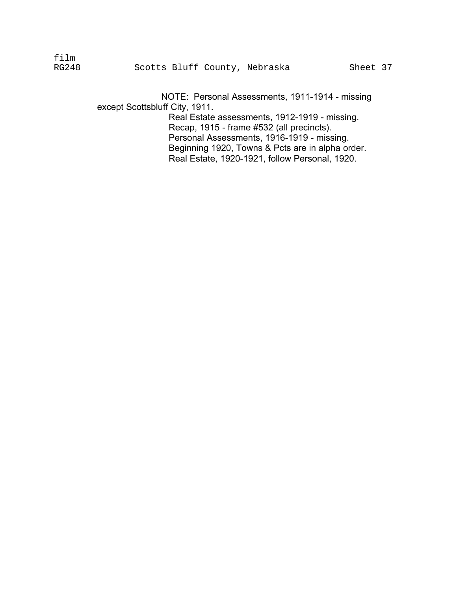NOTE: Personal Assessments, 1911-1914 - missing except Scottsbluff City, 1911. Real Estate assessments, 1912-1919 - missing. Recap, 1915 - frame #532 (all precincts). Personal Assessments, 1916-1919 - missing. Beginning 1920, Towns & Pcts are in alpha order. Real Estate, 1920-1921, follow Personal, 1920.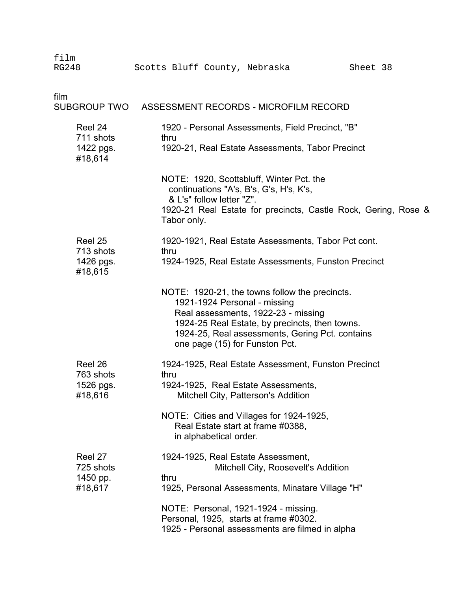| film<br><b>RG248</b>                         | Scotts Bluff County, Nebraska<br>Sheet 38                                                                                                                                                                                                                    |
|----------------------------------------------|--------------------------------------------------------------------------------------------------------------------------------------------------------------------------------------------------------------------------------------------------------------|
| film                                         | SUBGROUP TWO ASSESSMENT RECORDS - MICROFILM RECORD                                                                                                                                                                                                           |
| Reel 24<br>711 shots<br>1422 pgs.<br>#18,614 | 1920 - Personal Assessments, Field Precinct, "B"<br>thru<br>1920-21, Real Estate Assessments, Tabor Precinct                                                                                                                                                 |
|                                              | NOTE: 1920, Scottsbluff, Winter Pct. the<br>continuations "A's, B's, G's, H's, K's,<br>& L's" follow letter "Z".<br>1920-21 Real Estate for precincts, Castle Rock, Gering, Rose &<br>Tabor only.                                                            |
| Reel 25<br>713 shots<br>1426 pgs.<br>#18,615 | 1920-1921, Real Estate Assessments, Tabor Pct cont.<br>thru<br>1924-1925, Real Estate Assessments, Funston Precinct                                                                                                                                          |
|                                              | NOTE: 1920-21, the towns follow the precincts.<br>1921-1924 Personal - missing<br>Real assessments, 1922-23 - missing<br>1924-25 Real Estate, by precincts, then towns.<br>1924-25, Real assessments, Gering Pct. contains<br>one page (15) for Funston Pct. |
| Reel 26<br>763 shots<br>1526 pgs.<br>#18,616 | 1924-1925, Real Estate Assessment, Funston Precinct<br>thru<br>1924-1925. Real Estate Assessments.<br>Mitchell City, Patterson's Addition                                                                                                                    |
|                                              | NOTE: Cities and Villages for 1924-1925,<br>Real Estate start at frame #0388,<br>in alphabetical order.                                                                                                                                                      |
| Reel 27<br>725 shots<br>1450 pp.<br>#18,617  | 1924-1925, Real Estate Assessment,<br>Mitchell City, Roosevelt's Addition<br>thru<br>1925, Personal Assessments, Minatare Village "H"                                                                                                                        |
|                                              | NOTE: Personal, 1921-1924 - missing.<br>Personal, 1925, starts at frame #0302.<br>1925 - Personal assessments are filmed in alpha                                                                                                                            |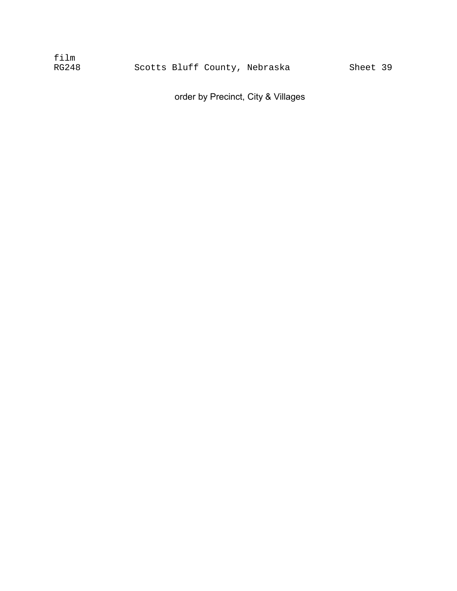| film  |  |                               |
|-------|--|-------------------------------|
| RG248 |  | Scotts Bluff County, Nebraska |

Sheet 39

order by Precinct, City & Villages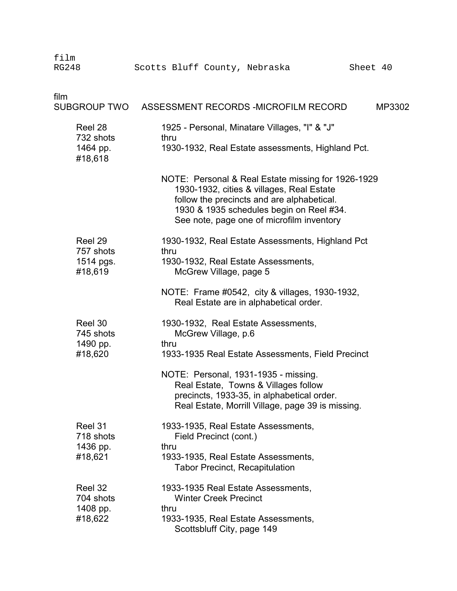| film<br><b>RG248</b>                         | Scotts Bluff County, Nebraska<br>Sheet 40                                                                                                                                                                                              |        |
|----------------------------------------------|----------------------------------------------------------------------------------------------------------------------------------------------------------------------------------------------------------------------------------------|--------|
| film<br><b>SUBGROUP TWO</b>                  | ASSESSMENT RECORDS - MICROFILM RECORD                                                                                                                                                                                                  | MP3302 |
| Reel 28<br>732 shots<br>1464 pp.<br>#18,618  | 1925 - Personal, Minatare Villages, "I" & "J"<br>thru<br>1930-1932, Real Estate assessments, Highland Pct.                                                                                                                             |        |
|                                              | NOTE: Personal & Real Estate missing for 1926-1929<br>1930-1932, cities & villages, Real Estate<br>follow the precincts and are alphabetical.<br>1930 & 1935 schedules begin on Reel #34.<br>See note, page one of microfilm inventory |        |
| Reel 29<br>757 shots<br>1514 pgs.<br>#18,619 | 1930-1932, Real Estate Assessments, Highland Pct<br>thru<br>1930-1932, Real Estate Assessments,<br>McGrew Village, page 5                                                                                                              |        |
|                                              | NOTE: Frame #0542, city & villages, 1930-1932,<br>Real Estate are in alphabetical order.                                                                                                                                               |        |
| Reel 30<br>745 shots<br>1490 pp.             | 1930-1932, Real Estate Assessments,<br>McGrew Village, p.6<br>thru                                                                                                                                                                     |        |
| #18,620                                      | 1933-1935 Real Estate Assessments, Field Precinct<br>NOTE: Personal, 1931-1935 - missing.<br>Real Estate, Towns & Villages follow<br>precincts, 1933-35, in alphabetical order.<br>Real Estate, Morrill Village, page 39 is missing.   |        |
| Reel 31<br>718 shots<br>1436 pp.<br>#18,621  | 1933-1935, Real Estate Assessments,<br>Field Precinct (cont.)<br>thru<br>1933-1935, Real Estate Assessments,<br><b>Tabor Precinct, Recapitulation</b>                                                                                  |        |
| Reel 32<br>704 shots<br>1408 pp.<br>#18,622  | 1933-1935 Real Estate Assessments,<br><b>Winter Creek Precinct</b><br>thru<br>1933-1935, Real Estate Assessments,<br>Scottsbluff City, page 149                                                                                        |        |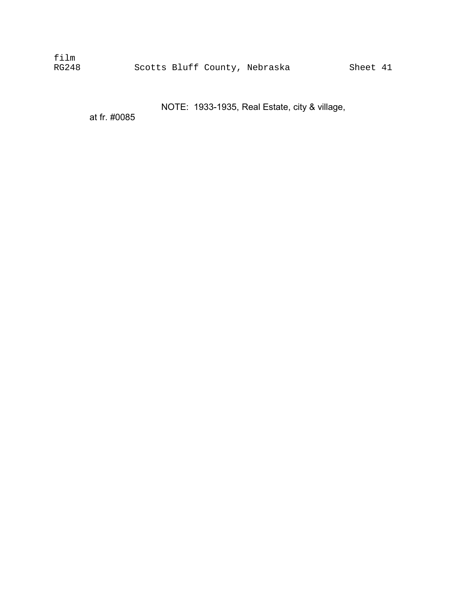film

NOTE: 1933-1935, Real Estate, city & village,

at fr. #0085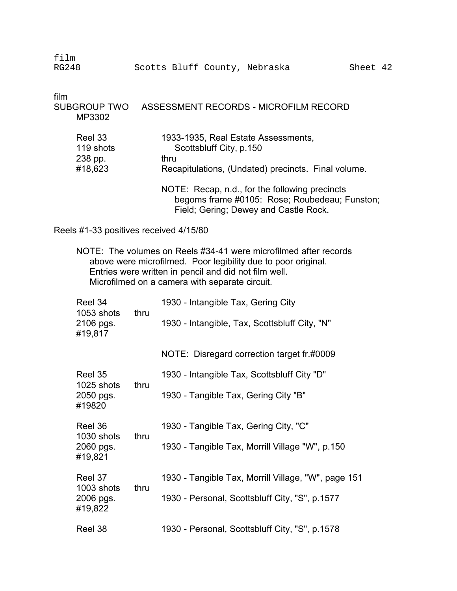| film  |  |                               |          |  |
|-------|--|-------------------------------|----------|--|
| RG248 |  | Scotts Bluff County, Nebraska | Sheet 42 |  |

film SUBGROUP TWO ASSESSMENT RECORDS - MICROFILM RECORD MP3302 Reel 33 1933-1935, Real Estate Assessments,<br>119 shots Scottsbluff City. p.150 119 shots Scottsbluff City, p.150 238 pp. thru<br>#18,623 Reca Recapitulations, (Undated) precincts. Final volume. NOTE: Recap, n.d., for the following precincts begoms frame #0105: Rose; Roubedeau; Funston; Field; Gering; Dewey and Castle Rock.

Reels #1-33 positives received 4/15/80

NOTE: The volumes on Reels #34-41 were microfilmed after records above were microfilmed. Poor legibility due to poor original. Entries were written in pencil and did not film well. Microfilmed on a camera with separate circuit.

| Reel 34<br>1053 shots                         | thru | 1930 - Intangible Tax, Gering City                  |
|-----------------------------------------------|------|-----------------------------------------------------|
| 2106 pgs.<br>#19,817                          |      | 1930 - Intangible, Tax, Scottsbluff City, "N"       |
|                                               |      | NOTE: Disregard correction target fr.#0009          |
| Reel 35<br>1025 shots<br>2050 pgs.<br>#19820  |      | 1930 - Intangible Tax, Scottsbluff City "D"         |
|                                               | thru | 1930 - Tangible Tax, Gering City "B"                |
| Reel 36                                       | thru | 1930 - Tangible Tax, Gering City, "C"               |
| 1030 shots<br>2060 pgs.<br>#19,821            |      | 1930 - Tangible Tax, Morrill Village "W", p.150     |
| Reel 37<br>1003 shots<br>2006 pgs.<br>#19,822 |      | 1930 - Tangible Tax, Morrill Village, "W", page 151 |
|                                               | thru | 1930 - Personal, Scottsbluff City, "S", p.1577      |
| Reel 38                                       |      | 1930 - Personal, Scottsbluff City, "S", p.1578      |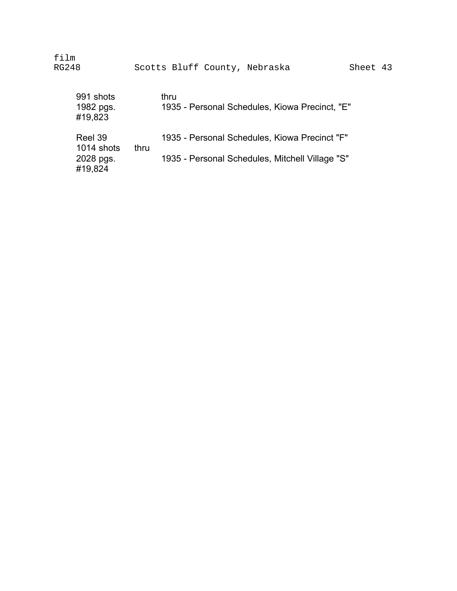film RG248 Scotts Bluff County, Nebraska Sheet 43

| 991 shots<br>1982 pgs.<br>#19,823             |      | thru<br>1935 - Personal Schedules, Kiowa Precinct, "E"                                           |
|-----------------------------------------------|------|--------------------------------------------------------------------------------------------------|
| Reel 39<br>1014 shots<br>2028 pgs.<br>#19,824 | thru | 1935 - Personal Schedules, Kiowa Precinct "F"<br>1935 - Personal Schedules, Mitchell Village "S" |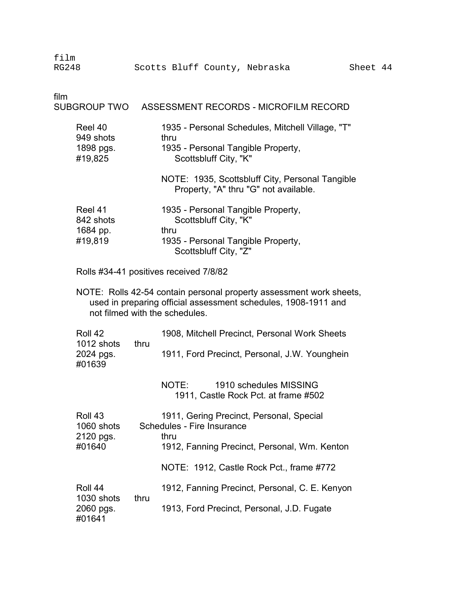| film<br><b>RG248</b>                         |      | Scotts Bluff County, Nebraska                                                                                                                                              | Sheet 44 |
|----------------------------------------------|------|----------------------------------------------------------------------------------------------------------------------------------------------------------------------------|----------|
| film<br>SUBGROUP TWO                         |      | ASSESSMENT RECORDS - MICROFILM RECORD                                                                                                                                      |          |
| Reel 40<br>949 shots<br>1898 pgs.<br>#19,825 |      | 1935 - Personal Schedules, Mitchell Village, "T"<br>thru<br>1935 - Personal Tangible Property,<br>Scottsbluff City, "K"                                                    |          |
|                                              |      | NOTE: 1935, Scottsbluff City, Personal Tangible<br>Property, "A" thru "G" not available.                                                                                   |          |
| Reel 41<br>842 shots<br>1684 pp.<br>#19,819  |      | 1935 - Personal Tangible Property,<br>Scottsbluff City, "K"<br>thru<br>1935 - Personal Tangible Property,<br>Scottsbluff City, "Z"                                         |          |
|                                              |      | Rolls #34-41 positives received 7/8/82                                                                                                                                     |          |
|                                              |      | NOTE: Rolls 42-54 contain personal property assessment work sheets,<br>used in preparing official assessment schedules, 1908-1911 and<br>not filmed with the schedules.    |          |
| Roll 42<br>1012 shots<br>2024 pgs.<br>#01639 | thru | 1908, Mitchell Precinct, Personal Work Sheets<br>1911, Ford Precinct, Personal, J.W. Younghein                                                                             |          |
|                                              |      | NOTE:<br>1910 schedules MISSING<br>1911, Castle Rock Pct. at frame #502                                                                                                    |          |
| Roll 43<br>1060 shots<br>2120 pgs.<br>#01640 |      | 1911, Gering Precinct, Personal, Special<br>Schedules - Fire Insurance<br>thru<br>1912, Fanning Precinct, Personal, Wm. Kenton<br>NOTE: 1912, Castle Rock Pct., frame #772 |          |
| Roll 44<br>1030 shots<br>2060 pgs.<br>#01641 | thru | 1912, Fanning Precinct, Personal, C. E. Kenyon<br>1913, Ford Precinct, Personal, J.D. Fugate                                                                               |          |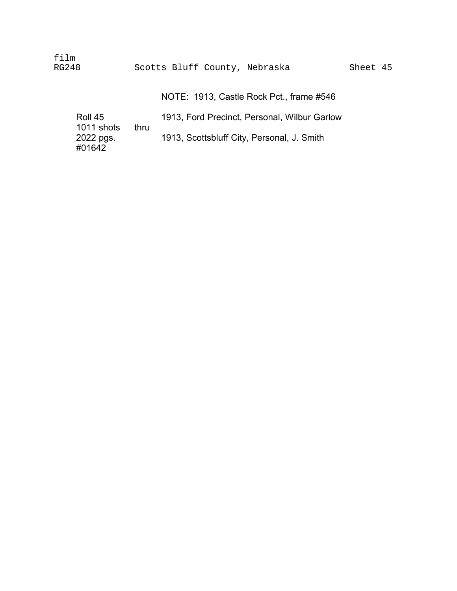film RG248 Scotts Bluff County, Nebraska Sheet 45

NOTE: 1913, Castle Rock Pct., frame #546

| Roll 45    |      | 1913, Ford Precinct, Personal, Wilbur Garlow |
|------------|------|----------------------------------------------|
| 1011 shots | thru |                                              |
| 2022 pgs.  |      | 1913, Scottsbluff City, Personal, J. Smith   |
| #01642     |      |                                              |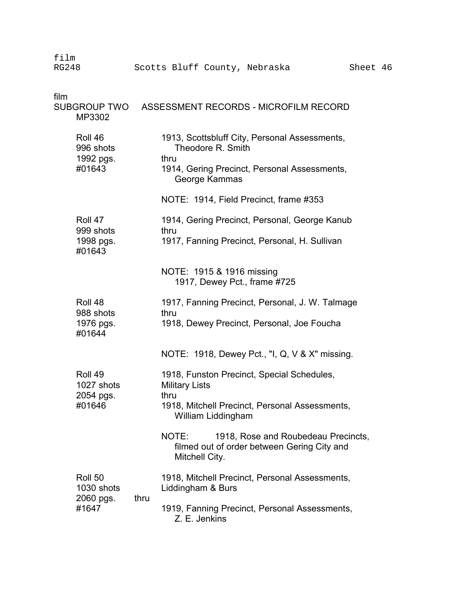| film<br><b>RG248</b> |                                             |      | Scotts Bluff County, Nebraska          |                    |                              |                                                                                                | Sheet 46 |  |
|----------------------|---------------------------------------------|------|----------------------------------------|--------------------|------------------------------|------------------------------------------------------------------------------------------------|----------|--|
| film                 | <b>SUBGROUP TWO</b><br>MP3302               |      |                                        |                    |                              | ASSESSMENT RECORDS - MICROFILM RECORD                                                          |          |  |
|                      | Roll 46<br>996 shots<br>1992 pgs.<br>#01643 |      | thru                                   | Theodore R. Smith  |                              | 1913, Scottsbluff City, Personal Assessments,<br>1914, Gering Precinct, Personal Assessments,  |          |  |
|                      |                                             |      | NOTE: 1914, Field Precinct, frame #353 | George Kammas      |                              |                                                                                                |          |  |
|                      | Roll 47<br>999 shots<br>1998 pgs.<br>#01643 |      | thru                                   |                    |                              | 1914, Gering Precinct, Personal, George Kanub<br>1917, Fanning Precinct, Personal, H. Sullivan |          |  |
|                      |                                             |      | NOTE: 1915 & 1916 missing              |                    | 1917, Dewey Pct., frame #725 |                                                                                                |          |  |
|                      | Roll 48<br>988 shots<br>1976 pgs.<br>#01644 |      | thru                                   |                    |                              | 1917, Fanning Precinct, Personal, J. W. Talmage<br>1918, Dewey Precinct, Personal, Joe Foucha  |          |  |
|                      |                                             |      |                                        |                    |                              | NOTE: 1918, Dewey Pct., "I, Q, V & X" missing.                                                 |          |  |
|                      | Roll 49<br>1027 shots<br>2054 pgs.          |      | <b>Military Lists</b><br>thru          |                    |                              | 1918, Funston Precinct, Special Schedules,                                                     |          |  |
|                      | #01646                                      |      |                                        | William Liddingham |                              | 1918, Mitchell Precinct, Personal Assessments,                                                 |          |  |
|                      |                                             |      | NOTE:<br>Mitchell City.                |                    |                              | 1918, Rose and Roubedeau Precincts,<br>filmed out of order between Gering City and             |          |  |
|                      | Roll 50<br>1030 shots                       |      | Liddingham & Burs                      |                    |                              | 1918, Mitchell Precinct, Personal Assessments,                                                 |          |  |
|                      | 2060 pgs.<br>#1647                          | thru | Z. E. Jenkins                          |                    |                              | 1919, Fanning Precinct, Personal Assessments,                                                  |          |  |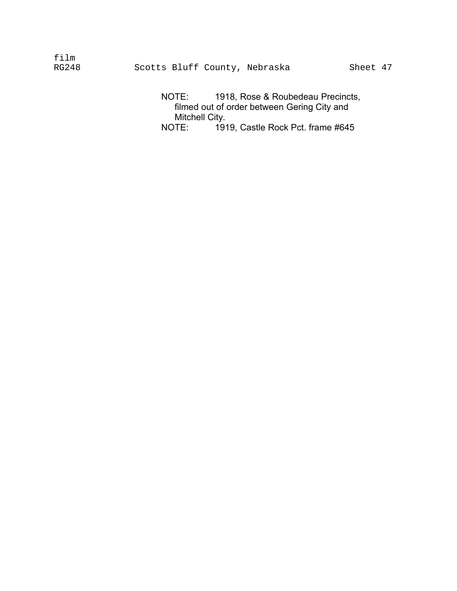film<br>RG248 Scotts Bluff County, Nebraska Sheet 47

> NOTE: 1918, Rose & Roubedeau Precincts, filmed out of order between Gering City and Mitchell City.<br>NOTE: 191 1919, Castle Rock Pct. frame #645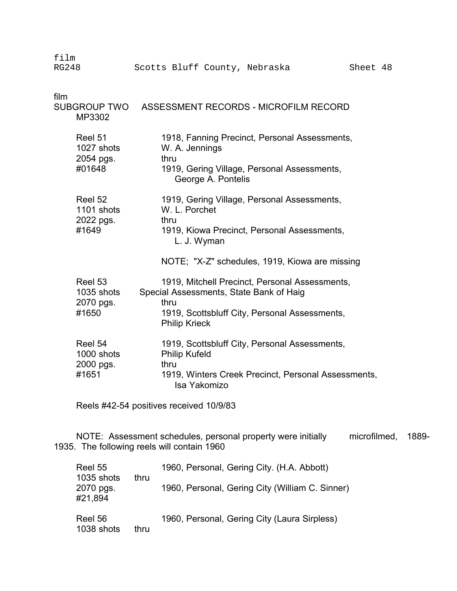film RG248 Scotts Bluff County, Nebraska Sheet 48 film SUBGROUP TWO ASSESSMENT RECORDS - MICROFILM RECORD MP3302 Reel 51 1918, Fanning Precinct, Personal Assessments, 1027 shots W. A. Jennings 2054 pgs. thru #01648 1919, Gering Village, Personal Assessments, George A. Pontelis Reel 52 1919, Gering Village, Personal Assessments, 1101 shots W. L. Porchet 2022 pgs. thru #1649 1919, Kiowa Precinct, Personal Assessments, L. J. Wyman NOTE; "X-Z" schedules, 1919, Kiowa are missing Reel 53 1919, Mitchell Precinct, Personal Assessments, 1035 shots Special Assessments, State Bank of Haig 2070 pgs. thru #1650 1919, Scottsbluff City, Personal Assessments, Philip Krieck Reel 54 1919, Scottsbluff City, Personal Assessments, 1000 shots Philip Kufeld 2000 pgs. thru #1651 1919, Winters Creek Precinct, Personal Assessments, Isa Yakomizo

Reels #42-54 positives received 10/9/83

NOTE: Assessment schedules, personal property were initially microfilmed, 1889- 1935. The following reels will contain 1960

| Reel 55<br>1035 shots | thru | 1960, Personal, Gering City. (H.A. Abbott)      |
|-----------------------|------|-------------------------------------------------|
| 2070 pgs.<br>#21,894  |      | 1960, Personal, Gering City (William C. Sinner) |
| Reel 56<br>1038 shots | thru | 1960, Personal, Gering City (Laura Sirpless)    |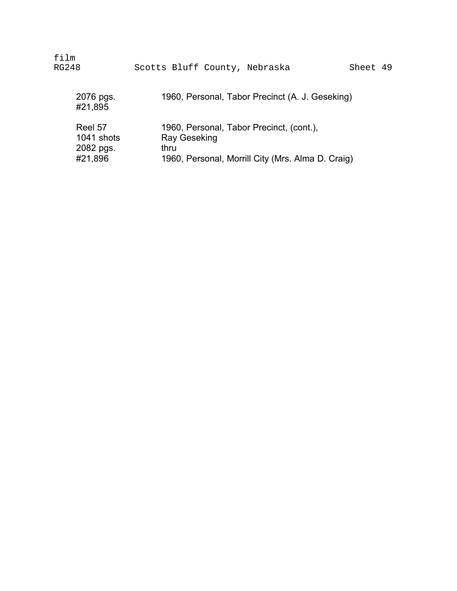| film                 | Scotts Bluff County, Nebraska                     |
|----------------------|---------------------------------------------------|
| RG248                | Sheet 49                                          |
| 2076 pgs.<br>#21,895 | 1960, Personal, Tabor Precinct (A. J. Geseking)   |
| Reel 57              | 1960, Personal, Tabor Precinct, (cont.),          |
| 1041 shots           | Ray Geseking                                      |
| 2082 pgs.            | thru                                              |
| #21,896              | 1960, Personal, Morrill City (Mrs. Alma D. Craig) |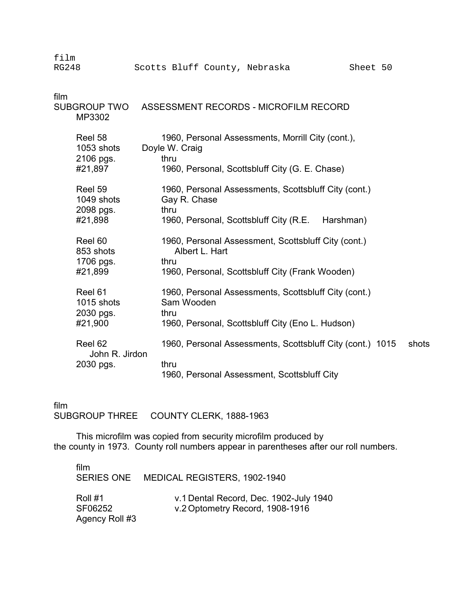| film<br><b>RG248</b> |                                    | Scotts Bluff County, Nebraska<br>Sheet 50                                     |       |
|----------------------|------------------------------------|-------------------------------------------------------------------------------|-------|
| film                 | <b>SUBGROUP TWO</b><br>MP3302      | ASSESSMENT RECORDS - MICROFILM RECORD                                         |       |
|                      | Reel 58<br>1053 shots<br>2106 pgs. | 1960, Personal Assessments, Morrill City (cont.),<br>Doyle W. Craig<br>thru   |       |
|                      | #21,897                            | 1960, Personal, Scottsbluff City (G. E. Chase)                                |       |
|                      | Reel 59<br>1049 shots<br>2098 pgs. | 1960, Personal Assessments, Scottsbluff City (cont.)<br>Gay R. Chase<br>thru  |       |
|                      | #21,898                            | 1960, Personal, Scottsbluff City (R.E. Harshman)                              |       |
|                      | Reel 60<br>853 shots<br>1706 pgs.  | 1960, Personal Assessment, Scottsbluff City (cont.)<br>Albert L. Hart<br>thru |       |
|                      | #21,899                            | 1960, Personal, Scottsbluff City (Frank Wooden)                               |       |
|                      | Reel 61<br>1015 shots<br>2030 pgs. | 1960, Personal Assessments, Scottsbluff City (cont.)<br>Sam Wooden<br>thru    |       |
|                      | #21,900                            | 1960, Personal, Scottsbluff City (Eno L. Hudson)                              |       |
|                      | Reel 62<br>John R. Jirdon          | 1960, Personal Assessments, Scottsbluff City (cont.) 1015                     | shots |
|                      | 2030 pgs.                          | thru<br>1960, Personal Assessment, Scottsbluff City                           |       |

film SUBGROUP THREE COUNTY CLERK, 1888-1963

This microfilm was copied from security microfilm produced by the county in 1973. County roll numbers appear in parentheses after our roll numbers.

| film                                 | SERIES ONE MEDICAL REGISTERS, 1902-1940                                   |  |
|--------------------------------------|---------------------------------------------------------------------------|--|
| Roll #1<br>SF06252<br>Agency Roll #3 | v.1 Dental Record, Dec. 1902-July 1940<br>v.2 Optometry Record, 1908-1916 |  |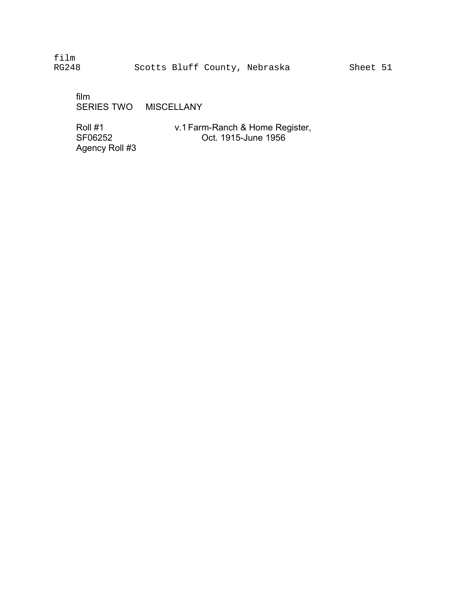film

film � SERIES TWO MISCELLANY

Agency Roll #3 �

Roll #1 v.1 Farm-Ranch & Home Register,<br>SF06252 Oct. 1915-June 1956 Oct. 1915-June 1956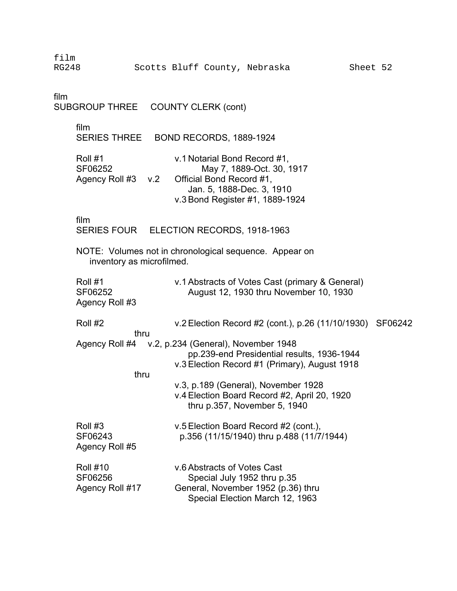RG248 Scotts Bluff County, Nebraska Sheet 52

film SUBGROUP THREE COUNTY CLERK (cont)

film

SERIES THREE BOND RECORDS, 1889-1924

| Roll #1            |  | v.1 Notarial Bond Record #1,    |  |  |
|--------------------|--|---------------------------------|--|--|
| SF06252            |  | May 7, 1889-Oct. 30, 1917       |  |  |
| Agency Roll #3 v.2 |  | Official Bond Record #1,        |  |  |
|                    |  | Jan. 5, 1888-Dec. 3, 1910       |  |  |
|                    |  | v.3 Bond Register #1, 1889-1924 |  |  |

film

SERIES FOUR ELECTION RECORDS, 1918-1963

NOTE: Volumes not in chronological sequence. Appear on inventory as microfilmed.

| Roll #1<br>SF06252<br>Agency Roll #3          | v.1 Abstracts of Votes Cast (primary & General)<br>August 12, 1930 thru November 10, 1930                                                         |  |
|-----------------------------------------------|---------------------------------------------------------------------------------------------------------------------------------------------------|--|
| Roll #2<br>thru                               | v.2 Election Record #2 (cont.), p.26 $(11/10/1930)$ SF06242                                                                                       |  |
|                                               | Agency Roll #4 v.2, p.234 (General), November 1948<br>pp.239-end Presidential results, 1936-1944<br>v.3 Election Record #1 (Primary), August 1918 |  |
| thru                                          | v.3, p.189 (General), November 1928<br>v.4 Election Board Record #2, April 20, 1920<br>thru p.357, November 5, 1940                               |  |
| Roll #3<br>SF06243<br>Agency Roll #5          | v.5 Election Board Record #2 (cont.),<br>p.356 (11/15/1940) thru p.488 (11/7/1944)                                                                |  |
| <b>Roll #10</b><br>SF06256<br>Agency Roll #17 | v.6 Abstracts of Votes Cast<br>Special July 1952 thru p.35<br>General, November 1952 (p.36) thru<br>Special Election March 12, 1963               |  |

film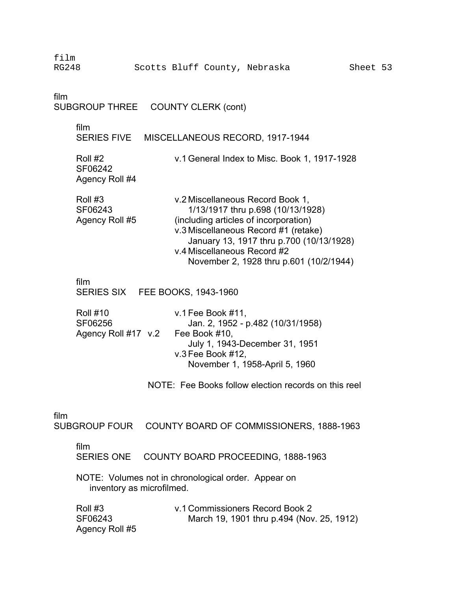| film<br><b>RG248</b>                                 | Scotts Bluff County, Nebraska                                                                                                                                                                                                                                                | Sheet 53 |  |  |  |  |
|------------------------------------------------------|------------------------------------------------------------------------------------------------------------------------------------------------------------------------------------------------------------------------------------------------------------------------------|----------|--|--|--|--|
| film<br>SUBGROUP THREE COUNTY CLERK (cont)           |                                                                                                                                                                                                                                                                              |          |  |  |  |  |
| film                                                 | SERIES FIVE MISCELLANEOUS RECORD, 1917-1944                                                                                                                                                                                                                                  |          |  |  |  |  |
| Roll #2<br>SF06242<br>Agency Roll #4                 | v.1 General Index to Misc. Book 1, 1917-1928                                                                                                                                                                                                                                 |          |  |  |  |  |
| Roll #3<br>SF06243<br>Agency Roll #5                 | v.2 Miscellaneous Record Book 1,<br>1/13/1917 thru p.698 (10/13/1928)<br>(including articles of incorporation)<br>v.3 Miscellaneous Record #1 (retake)<br>January 13, 1917 thru p.700 (10/13/1928)<br>v.4 Miscellaneous Record #2<br>November 2, 1928 thru p.601 (10/2/1944) |          |  |  |  |  |
| film                                                 | SERIES SIX FEE BOOKS, 1943-1960                                                                                                                                                                                                                                              |          |  |  |  |  |
| <b>Roll #10</b><br>SF06256<br>Agency Roll #17 v.2    | v.1 Fee Book $#11$ ,<br>Jan. 2, 1952 - p.482 (10/31/1958)<br>Fee Book #10,<br>July 1, 1943-December 31, 1951<br>v.3 Fee Book #12,<br>November 1, 1958-April 5, 1960                                                                                                          |          |  |  |  |  |
| NOTE: Fee Books follow election records on this reel |                                                                                                                                                                                                                                                                              |          |  |  |  |  |
| film                                                 | SUBGROUP FOUR COUNTY BOARD OF COMMISSIONERS, 1888-1963                                                                                                                                                                                                                       |          |  |  |  |  |
| film<br><b>SERIES ONE</b>                            | COUNTY BOARD PROCEEDING, 1888-1963                                                                                                                                                                                                                                           |          |  |  |  |  |
|                                                      | NOTE: Volumes not in chronological order. Appear on<br>inventory as microfilmed.                                                                                                                                                                                             |          |  |  |  |  |
| Roll #3<br>SF06243<br>Agency Roll #5                 | v.1 Commissioners Record Book 2<br>March 19, 1901 thru p.494 (Nov. 25, 1912)                                                                                                                                                                                                 |          |  |  |  |  |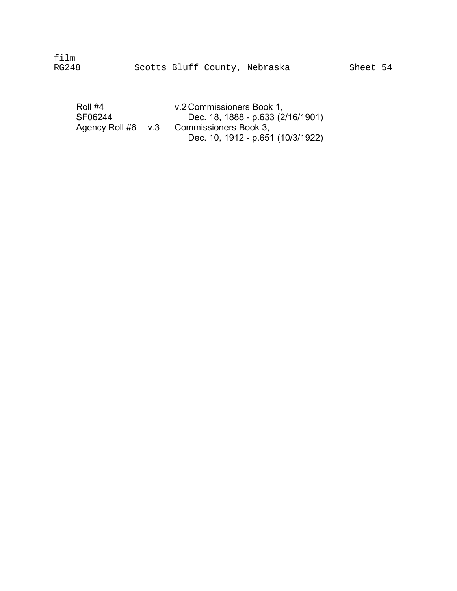film

| Roll #4            | v.2 Commissioners Book 1,         |
|--------------------|-----------------------------------|
| SF06244            | Dec. 18, 1888 - p.633 (2/16/1901) |
| Agency Roll #6 v.3 | Commissioners Book 3.             |
|                    | Dec. 10, 1912 - p.651 (10/3/1922) |
|                    |                                   |